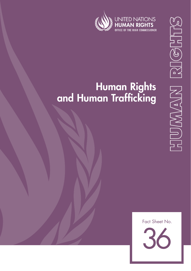

# **Human Rights and Human Trafficking**

Fact Sheet No.

**FIDDIVANY** RIGHT

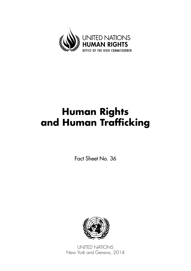

# **Human Rights and Human Trafficking**

Fact Sheet No. 36



UNITED NATIONS New York and Geneva, 2014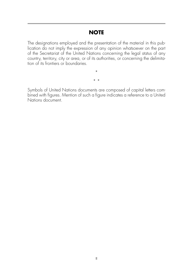## **NOTE**

The designations employed and the presentation of the material in this publication do not imply the expression of any opinion whatsoever on the part of the Secretariat of the United Nations concerning the legal status of any country, territory, city or area, or of its authorities, or concerning the delimitation of its frontiers or boundaries.

> \* \* \*

Symbols of United Nations documents are composed of capital letters combined with figures. Mention of such a figure indicates a reference to a United Nations document.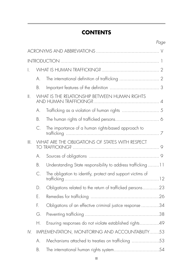# **CONTENTS**

| $\mathbf{L}$  |           |                                                               |  |  |  |
|---------------|-----------|---------------------------------------------------------------|--|--|--|
|               | A         |                                                               |  |  |  |
|               | B.        |                                                               |  |  |  |
| $\parallel$ . |           | WHAT IS THE RELATIONSHIP BETWEEN HUMAN RIGHTS                 |  |  |  |
|               | А.        |                                                               |  |  |  |
|               | Β.        |                                                               |  |  |  |
|               | C.        | The importance of a human rights-based approach to            |  |  |  |
| III.          |           | WHAT ARE THE OBLIGATIONS OF STATES WITH RESPECT               |  |  |  |
|               | A.        |                                                               |  |  |  |
|               | Β.        | Understanding State responsibility to address trafficking  11 |  |  |  |
|               | C.        | The obligation to identify, protect and support victims of    |  |  |  |
|               | D.        | Obligations related to the return of trafficked persons23     |  |  |  |
|               | Ε.        |                                                               |  |  |  |
|               | F.        | Obligations of an effective criminal justice response 34      |  |  |  |
|               | G.        |                                                               |  |  |  |
|               | Η.        | Ensuring responses do not violate established rights49        |  |  |  |
| IV.           |           | IMPLEMENTATION, MONITORING AND ACCOUNTABILITY53               |  |  |  |
|               | $\forall$ | Mechanisms attached to treaties on trafficking 53             |  |  |  |
|               | Β.        |                                                               |  |  |  |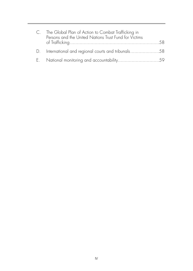| C. The Global Plan of Action to Combat Trafficking in<br>Persons and the United Nations Trust Fund for Victims |  |
|----------------------------------------------------------------------------------------------------------------|--|
| D. International and regional courts and tribunals58                                                           |  |
|                                                                                                                |  |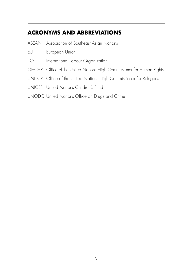# **ACRONYMS AND ABBREVIATIONS**

- ASEAN Association of Southeast Asian Nations
- EU European Union
- ILO International Labour Organization
- OHCHR Office of the United Nations High Commissioner for Human Rights
- UNHCR Office of the United Nations High Commissioner for Refugees
- UNICEF United Nations Children's Fund
- UNODC United Nations Office on Drugs and Crime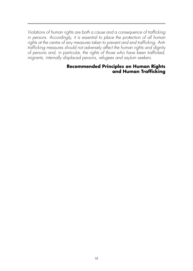Violations of human rights are both a cause and a consequence of trafficking in persons. Accordingly, it is essential to place the protection of all human rights at the centre of any measures taken to prevent and end trafficking. Antitrafficking measures should not adversely affect the human rights and dignity of persons and, in particular, the rights of those who have been trafficked, migrants, internally displaced persons, refugees and asylum seekers.

#### **Recommended Principles on Human Rights and Human Trafficking**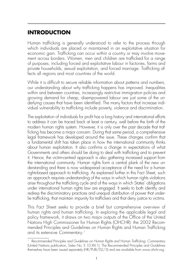# **INTRODUCTION**

Human trafficking is generally understood to refer to the process through which individuals are placed or maintained in an exploitative situation for economic gain. Trafficking can occur within a country or may involve movement across borders. Women, men and children are trafficked for a range of purposes, including forced and exploitative labour in factories, farms and private households, sexual exploitation, and forced marriage. Trafficking affects all regions and most countries of the world.

While it is difficult to secure reliable information about patterns and numbers, our understanding about why trafficking happens has improved. Inequalities within and between countries, increasingly restrictive immigration policies and growing demand for cheap, disempowered labour are just some of the underlying causes that have been identified. The many factors that increase individual vulnerability to trafficking include poverty, violence and discrimination.

The exploitation of individuals for profit has a long history and international efforts to address it can be traced back at least a century, well before the birth of the modern human rights system. However, it is only over the past decade that trafficking has become a major concern. During that same period, a comprehensive legal framework has developed around the issue. These changes confirm that a fundamental shift has taken place in how the international community thinks about human exploitation. It also confirms a change in expectations of what Governments and others should be doing to deal with trafficking and to prevent it. Hence, the victim-centred approach is also gathering increased support from the international community. Human rights form a central plank of the new understanding and there is now widespread acceptance of the need for a human rights-based approach to trafficking. As explained further in this Fact Sheet, such an approach requires understanding of the ways in which human rights violations arise throughout the trafficking cycle and of the ways in which States' obligations under international human rights law are engaged. It seeks to both identify and redress the discriminatory practices and unequal distribution of power that underlie trafficking, that maintain impunity for traffickers and that deny justice to victims.

This Fact Sheet seeks to provide a brief but comprehensive overview of human rights and human trafficking. In exploring the applicable legal and policy framework, it draws on two major outputs of the Office of the United Nations High Commissioner for Human Rights (OHCHR): the 2002 Recommended Principles and Guidelines on Human Rights and Human Trafficking and its extensive Commentary. 1

<sup>&</sup>lt;sup>1</sup> Recommended Principles and Guidelines on Human Rights and Human Trafficking: Commentary (United Nations publication, Sales No. E.10.XIV.1). The Recommended Principles and Guidelines themselves have been issued separately (HR/PUB/02/3) and are available from www.ohchr.org.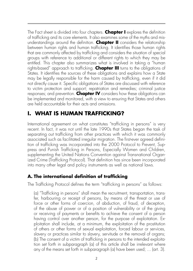The Fact sheet is divided into four chapters. **Chapter I** explores the definition of trafficking and its core elements. It also examines some of the myths and misunderstandings around the definition. **Chapter II** considers the relationship between human rights and human trafficking. It identifies those human rights that are commonly affected by trafficking and considers the situation of special groups with reference to additional or different rights to which they may be entitled. This chapter also summarizes what is involved in taking a "human rights-based" approach to trafficking. **Chapter III** turns to the obligations of States. It identifies the sources of these obligations and explains how a State may be legally responsible for the harm caused by trafficking, even if it did not directly cause it. Specific obligations of States are discussed with reference to victim protection and support; repatriation and remedies; criminal justice responses; and prevention. **Chapter IV** considers how these obligations can be implemented and monitored, with a view to ensuring that States and others are held accountable for their acts and omissions.

# **I. WHAT IS HUMAN TRAFFICKING?**

International agreement on what constitutes "trafficking in persons" is very recent. In fact, it was not until the late 1990s that States began the task of separating out trafficking from other practices with which it was commonly associated such as facilitated irregular migration. The first-ever agreed definition of trafficking was incorporated into the 2000 Protocol to Prevent, Suppress and Punish Trafficking in Persons, Especially Women and Children, supplementing the United Nations Convention against Transnational Organized Crime (Trafficking Protocol). That definition has since been incorporated into many other legal and policy instruments as well as national laws.

## **A. The international definition of trafficking**

The Trafficking Protocol defines the term "trafficking in persons" as follows:

(a) "Trafficking in persons" shall mean the recruitment, transportation, transfer, harbouring or receipt of persons, by means of the threat or use of force or other forms of coercion, of abduction, of fraud, of deception, of the abuse of power or of a position of vulnerability or of the giving or receiving of payments or benefits to achieve the consent of a person having control over another person, for the purpose of exploitation. Exploitation shall include, at a minimum, the exploitation of the prostitution of others or other forms of sexual exploitation, forced labour or services, slavery or practices similar to slavery, servitude or the removal of organs; (b) The consent of a victim of trafficking in persons to the intended exploitation set forth in subparagraph (a) of this article shall be irrelevant where any of the means set forth in subparagraph (a) have been used; ... (art. 3).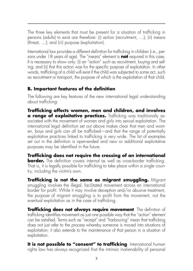The three key elements that must be present for a situation of trafficking in persons (adults) to exist are therefore: (i) action (recruitment, …); (ii) means (threat, …); and (iii) purpose (exploitation).

International law provides a different definition for trafficking in children (i.e., persons under 18 years of age). The "means" element is **not** required in this case. It is necessary to show only: (i) an "action" such as recruitment, buying and selling; and (ii) that this action was for the specific purpose of exploitation. In other words, trafficking of a child will exist if the child was subjected to some act, such as recruitment or transport, the purpose of which is the exploitation of that child.

## **B. Important features of the definition**

The following are key features of the new international legal understanding about trafficking:

**Trafficking affects women, men and children, and involves a range of exploitative practices.** Trafficking was traditionally associated with the movement of women and girls into sexual exploitation. The international legal definition set out above makes clear that men and women, boys and girls can all be trafficked—and that the range of potentially exploitative practices linked to trafficking is very wide. The list of examples set out in the definition is open-ended and new or additional exploitative purposes may be identified in the future.

**Trafficking does not require the crossing of an international border.** The definition covers internal as well as cross-border trafficking. That is, it is legally possible for trafficking to take place within a single country, including the victim's own.

**Trafficking is not the same as migrant smuggling.** Migrant smuggling involves the illegal, facilitated movement across an international border for profit. While it may involve deception and/or abusive treatment, the purpose of migrant smuggling is to profit from the movement, not the eventual exploitation as in the case of trafficking.

**Trafficking does not always require movement**. The definition of trafficking identifies movement as just one possible way that the "action" element can be satisfied. Terms such as "receipt" and "harbouring" mean that trafficking does not just refer to the process whereby someone is moved into situations of exploitation; it also extends to the maintenance of that person in a situation of exploitation.

**It is not possible to "consent" to trafficking**. International human rights law has always recognized that the intrinsic inalienability of personal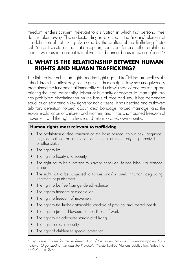freedom renders consent irrelevant to a situation in which that personal freedom is taken away. This understanding is reflected in the "means" element of the definition of trafficking. As noted by the drafters of the Trafficking Protocol: "once it is established that deception, coercion, force or other prohibited means were used, consent is irrelevant and cannot be used as a defence."2

## **II. WHAT IS THE RELATIONSHIP BETWEEN HUMAN RIGHTS AND HUMAN TRAFFICKING?**

The links between human rights and the fight against trafficking are well established. From its earliest days to the present, human rights law has unequivocally proclaimed the fundamental immorality and unlawfulness of one person appropriating the legal personality, labour or humanity of another. Human rights law has prohibited discrimination on the basis of race and sex; it has demanded equal or at least certain key rights for non-citizens; it has decried and outlawed arbitrary detention, forced labour, debt bondage, forced marriage, and the sexual exploitation of children and women; and it has championed freedom of movement and the right to leave and return to one's own country.

#### **Human rights most relevant to trafficking**

- The prohibition of discrimination on the basis of race, colour, sex, language, religion, political or other opinion, national or social origin, property, birth, or other status
- The right to life
- The right to liberty and security
- The right not to be submitted to slavery, servitude, forced labour or bonded labour
- The right not to be subjected to torture and/or cruel, inhuman, degrading treatment or punishment
- The right to be free from gendered violence
- The right to freedom of association
- The right to freedom of movement
- The right to the highest attainable standard of physical and mental health
- The right to just and favourable conditions of work
- The right to an adequate standard of living
- The right to social security
- The right of children to special protection

<sup>&</sup>lt;sup>2</sup> Legislative Guides for the Implementation of the United Nations Convention against Transnational Organized Crime and the Protocols Thereto (United Nations publication, Sales No. E.05.V.2), p. 270.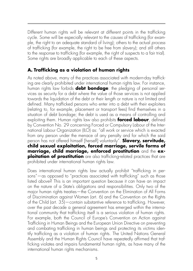Different human rights will be relevant at different points in the trafficking cycle. Some will be especially relevant to the causes of trafficking (for example, the right to an adequate standard of living); others to the actual process of trafficking (for example, the right to be free from slavery); and still others to the response to trafficking (for example, the right of suspects to a fair trial). Some rights are broadly applicable to each of these aspects.

## **A. Trafficking as a violation of human rights**

As noted above, many of the practices associated with modern-day trafficking are clearly prohibited under international human rights law. For instance, human rights law forbids **debt bondage**: the pledging of personal services as security for a debt where the value of those services is not applied towards the liquidation of the debt or their length or nature is not limited and defined. Many trafficked persons who enter into a debt with their exploiters (relating to, for example, placement or transport fees) find themselves in a situation of debt bondage; the debt is used as a means of controlling and exploiting them. Human rights law also prohibits **forced labour**, defined by Convention No. 29 concerning Forced or Compulsory Labour of the International Labour Organization (ILO) as: "all work or service which is exacted from any person under the menace of any penalty and for which the said person has not offered himself [herself] voluntarily". **Slavery, servitude, child sexual exploitation, forced marriage, servile forms of marriage, child marriage, enforced prostitution** and the **exploitation of prostitution** are also trafficking-related practices that are prohibited under international human rights law.

Does international human rights law actually prohibit "trafficking in persons"—as opposed to "practices associated with trafficking" such as those listed above? This is an important question because it can have an impact on the nature of a State's obligations and responsibilities. Only two of the major human rights treaties—the Convention on the Elimination of All Forms of Discrimination against Women (art. 6) and the Convention on the Rights of the Child (art. 35)—contain substantive reference to trafficking. However, over the past decade a general agreement has emerged within the international community that trafficking itself is a serious violation of human rights. For example, both the Council of Europe's Convention on Action against Trafficking in Human Beings and the European Union Directive on preventing and combating trafficking in human beings and protecting its victims identify trafficking as a violation of human rights. The United Nations General Assembly and the Human Rights Council have repeatedly affirmed that trafficking violates and impairs fundamental human rights, as have many of the international human rights mechanisms.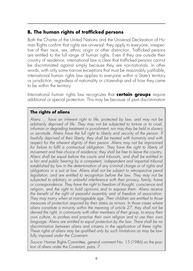## **B. The human rights of trafficked persons**

Both the Charter of the United Nations and the Universal Declaration of Human Rights confirm that rights are universal: they apply to everyone, irrespective of their race, sex, ethnic origin or other distinction. Trafficked persons are entitled to the full range of human rights. Even if they are outside their country of residence, international law is clear that trafficked persons cannot be discriminated against simply because they are non-nationals. In other words, with only some narrow exceptions that must be reasonably justifiable, international human rights law applies to everyone within a State's territory or jurisdiction, regardless of nationality or citizenship and of how they came to be within the territory.

International human rights law recognizes that **certain groups** require additional or special protection. This may be because of past discrimination

## **The rights of aliens**

Aliens … have an inherent right to life, protected by law, and may not be arbitrarily deprived of life. They may not be subjected to torture or to cruel, inhuman or degrading treatment or punishment; nor may they be held in slavery or servitude. Aliens have the full right to liberty and security of the person. If lawfully deprived of their liberty, they shall be treated with humanity and with respect for the inherent dignity of their person. Aliens may not be imprisoned for failure to fulfil a contractual obligation. They have the right to liberty of movement and free choice of residence; they shall be free to leave the country. Aliens shall be equal before the courts and tribunals, and shall be entitled to a fair and public hearing by a competent, independent and impartial tribunal established by law in the determination of any criminal charge or of rights and obligations in a suit at law. Aliens shall not be subject to retrospective penal legislation, and are entitled to recognition before the law. They may not be subjected to arbitrary or unlawful interference with their privacy, family, home or correspondence. They have the right to freedom of thought, conscience and religion, and the right to hold opinions and to express them. Aliens receive the benefit of the right of peaceful assembly and of freedom of association. They may marry when at marriageable age. Their children are entitled to those measures of protection required by their status as minors. In those cases where aliens constitute a minority within the meaning of article 27, they shall not be denied the right, in community with other members of their group, to enjoy their own culture, to profess and practise their own religion and to use their own language. Aliens are entitled to equal protection by the law. There shall be no discrimination between aliens and citizens in the application of these rights. These rights of aliens may be qualified only by such limitations as may be lawfully imposed under the Covenant.

Source: Human Rights Committee, general comment No. 15 (1986) on the position of aliens under the Covenant, para. 7.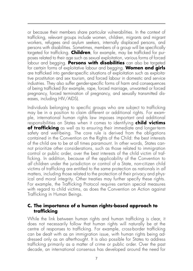or because their members share particular vulnerabilities. In the context of trafficking, relevant groups include women, children, migrants and migrant workers, refugees and asylum seekers, internally displaced persons, and persons with disabilities. Sometimes, members of a group will be specifically targeted for trafficking. **Children**, for example, may be trafficked for purposes related to their age such as sexual exploitation, various forms of forced labour and begging. **Persons with disabilities** can also be targeted for certain forms of exploitative labour and begging. **Women and girls** are trafficked into gender-specific situations of exploitation such as exploitative prostitution and sex tourism, and forced labour in domestic and service industries. They also suffer gender-specific forms of harm and consequences of being trafficked (for example, rape, forced marriage, unwanted or forced pregnancy, forced termination of pregnancy, and sexually transmitted diseases, including HIV/AIDS).

Individuals belonging to specific groups who are subject to trafficking may be in a position to claim different or additional rights. For example, international human rights law imposes important and additional responsibilities on States when it comes to identifying **child victims of trafficking** as well as to ensuring their immediate and longer-term safety and well-being. The core rule is derived from the obligations contained in the Convention on the Rights of the Child: the best interests of the child are to be at all times paramount. In other words, States cannot prioritize other considerations, such as those related to immigration control or public order, over the best interests of the child victim of trafficking. In addition, because of the applicability of the Convention to all children under the jurisdiction or control of a State, non-citizen child victims of trafficking are entitled to the same protection as nationals in all matters, including those related to the protection of their privacy and physical and moral integrity. Other treaties may further specify these rights. For example, the Trafficking Protocol requires certain special measures with regard to child victims, as does the Convention on Action against Trafficking in Human Beings.

#### **C. The importance of a human rights-based approach to trafficking**

While the link between human rights and human trafficking is clear, it does not necessarily follow that human rights will naturally be at the centre of responses to trafficking. For example, cross-border trafficking can be dealt with as an immigration issue, with human rights being addressed only as an afterthought. It is also possible for States to address trafficking primarily as a matter of crime or public order. Over the past decade, an international consensus has developed around the need for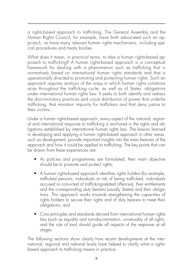a rights-based approach to trafficking. The General Assembly and the Human Rights Council, for example, have both advocated such an approach, as have many relevant human rights mechanisms, including special procedures and treaty bodies.

What does it mean, in practical terms, to take a human rights-based approach to trafficking? A human rights-based approach is a conceptual framework for dealing with a phenomenon such as trafficking that is normatively based on international human rights standards and that is operationally directed to promoting and protecting human rights. Such an approach requires analysis of the ways in which human rights violations arise throughout the trafficking cycle, as well as of States' obligations under international human rights law. It seeks to both identify and redress the discriminatory practices and unjust distribution of power that underlie trafficking, that maintain impunity for traffickers and that deny justice to their victims.

Under a human rights-based approach, every aspect of the national, regional and international response to trafficking is anchored in the rights and obligations established by international human rights law. The lessons learned in developing and applying a human rights-based approach in other areas, such as development, provide important insights into the main features of the approach and how it could be applied to trafficking. The key points that can be drawn from these experiences are:

- As policies and programmes are formulated, their main objective should be to promote and protect rights;
- A human rights-based approach identifies *rights holders* (for example, trafficked persons, individuals at risk of being trafficked, individuals accused or convicted of trafficking-related offences), their entitlements and the corresponding duty bearers (usually States) and their obligations. This approach works towards strengthening the capacities of rights holders to secure their rights and of duty bearers to meet their obligations; and
- Core principles and standards derived from international human rights law (such as equality and non-discrimination, universality of all rights, and the rule of law) should guide all aspects of the response at all stages.

The following sections show clearly how recent developments at the international, regional and national levels have helped to clarify what a rightsbased approach to trafficking means in practice.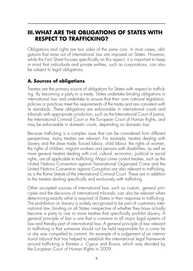## **III. WHAT ARE THE OBLIGATIONS OF STATES WITH RESPECT TO TRAFFICKING?**

Obligations and rights are two sides of the same coin. In most cases, obligations that arise out of international law are imposed on States. However, while the Fact Sheet focuses specifically on this aspect, it is important to keep in mind that individuals and private entities, such as corporations, can also be subject to legal obligations.

## **A. Sources of obligations**

Treaties are the primary source of obligations for States with respect to trafficking. By becoming a party to a treaty, States undertake binding obligations in international law and undertake to ensure that their own national legislation, policies or practices meet the requirements of the treaty and are consistent with its standards. These obligations are enforceable in international courts and tribunals with appropriate jurisdiction, such as the International Court of Justice, the International Criminal Court or the European Court of Human Rights, and may be enforceable in domestic courts, depending on domestic law.

Because trafficking is a complex issue that can be considered from different perspectives, many treaties are relevant. For example, treaties dealing with slavery and the slave trade, forced labour, child labour, the rights of women, the rights of children, migrant workers and persons with disabilities, as well as more general treaties dealing with civil, cultural, economic, political or social rights, are all applicable to trafficking. Major crime control treaties, such as the United Nations Convention against Transnational Organized Crime and the United Nations Convention against Corruption are also relevant to trafficking, as is the Rome Statute of the International Criminal Court. These are in addition to the treaties dealing specifically and exclusively with trafficking.

Other accepted sources of international law, such as custom, general principles and the decisions of international tribunals, can also be relevant when determining exactly what is required of States in their response to trafficking. The prohibition on slavery is widely recognized to be part of customary international law, binding on all States irrespective of whether they have actually become a party to one or more treaties that specifically prohibit slavery. A general principle of law is one that is common to all major legal systems of law and thereby part of international law. A general principle of law relevant to trafficking is that someone should not be held responsible for a crime he or she was compelled to commit. An example of a judgement of an international tribunal that has helped to establish the international legal framework around trafficking is Rantsev v. Cyprus and Russia, which was decided by the European Court of Human Rights in 2009.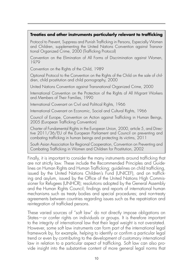#### **Treaties and other instruments particularly relevant to trafficking**

Protocol to Prevent, Suppress and Punish Trafficking in Persons, Especially Women and Children, supplementing the United Nations Convention against Transnational Organized Crime, 2000 (Trafficking Protocol)

Convention on the Elimination of All Forms of Discrimination against Women, 1979

Convention on the Rights of the Child, 1989

Optional Protocol to the Convention on the Rights of the Child on the sale of children, child prostitution and child pornography, 2000

United Nations Convention against Transnational Organized Crime, 2000

International Convention on the Protection of the Rights of All Migrant Workers and Members of Their Families, 1990

International Covenant on Civil and Political Rights, 1966

International Covenant on Economic, Social and Cultural Rights, 1966

Council of Europe, Convention on Action against Trafficking in Human Beings, 2005 (European Trafficking Convention)

Charter of Fundamental Rights in the European Union, 2000, article 5, and Directive 2011/36/EU of the European Parliament and Council on preventing and combating trafficking in human beings and protecting its victims, 2011

South Asian Association for Regional Cooperation, Convention on Preventing and Combating Trafficking in Women and Children for Prostitution, 2002

Finally, it is important to consider the many instruments around trafficking that are not strictly law. These include the Recommended Principles and Guidelines on Human Rights and Human Trafficking; guidelines on child trafficking, issued by the United Nations Children's Fund (UNICEF), and on trafficking and asylum, issued by the Office of the United Nations High Commissioner for Refugees (UNHCR); resolutions adopted by the General Assembly and the Human Rights Council; findings and reports of international human mechanisms such as treaty bodies and special procedures; and non-treaty agreements between countries regarding issues such as the repatriation and reintegration of trafficked persons.

These varied sources of "soft law" do not directly impose obligations on States—or confer rights on individuals or groups. It is therefore important to the integrity of international law that their legal weight is not overstated. However, some soft law instruments can form part of the international legal framework by, for example, helping to identify or confirm a particular legal trend or even by contributing to the development of customary international law in relation to a particular aspect of trafficking. Soft law can also provide insight into the substantive content of more general legal norms that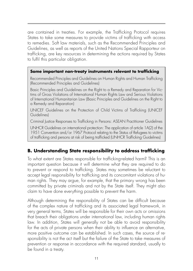are contained in treaties. For example, the Trafficking Protocol requires States to take some measures to provide victims of trafficking with access to remedies. Soft law materials, such as the Recommended Principles and Guidelines, as well as reports of the United Nations Special Rapporteur on trafficking, are key resources in determining the actions required by States to fulfil this particular obligation.

#### **Some important non-treaty instruments relevant to trafficking**

Recommended Principles and Guidelines on Human Rights and Human Trafficking (Recommended Principles and Guidelines)

Basic Principles and Guidelines on the Right to a Remedy and Reparation for Victims of Gross Violations of International Human Rights Law and Serious Violations of International Humanitarian Law (Basic Principles and Guidelines on the Right to a Remedy and Reparation)

UNICEF Guidelines on the Protection of Child Victims of Trafficking (UNICEF Guidelines)

Criminal Justice Responses to Trafficking in Persons: ASEAN Practitioner Guidelines

UNHCR Guidelines on international protection: The application of article 1A(2) of the 1951 Convention and/or 1967 Protocol relating to the Status of Refugees to victims of trafficking and persons at risk of being trafficked (UNHCR Trafficking Guidelines)

## **B. Understanding State responsibility to address trafficking**

To what extent are States responsible for trafficking-related harm? This is an important question because it will determine what they are required to do to prevent or respond to trafficking. States may sometimes be reluctant to accept legal responsibility for trafficking and its concomitant violations of human rights. They may argue, for example, that the primary wrong has been committed by private criminals and not by the State itself. They might also claim to have done everything possible to prevent the harm.

Although determining the responsibility of States can be difficult because of the complex nature of trafficking and its associated legal framework, in very general terms, States will be responsible for their own acts or omissions that breach their obligations under international law, including human rights law. In addition, States will generally not be able to avoid responsibility for the acts of private persons when their ability to influence an alternative, more positive outcome can be established. In such cases, the source of responsibility is not the act itself but the failure of the State to take measures of prevention or response in accordance with the required standard, usually to be found in a treaty.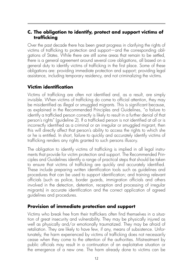## **C. The obligation to identify, protect and support victims of trafficking**

Over the past decade there has been great progress in clarifying the rights of victims of trafficking to protection and support—and the corresponding obligations of States. While there are still some areas that remain to be settled, there is a general agreement around several core obligations, all based on a general duty to identify victims of trafficking in the first place. Some of these obligations are: providing immediate protection and support; providing legal assistance, including temporary residency, and not criminalizing the victims.

## **Victim identification**

Victims of trafficking are often not identified and, as a result, are simply invisible. When victims of trafficking do come to official attention, they may be misidentified as illegal or smuggled migrants. This is significant because, as explained in the Recommended Principles and Guidelines, "a failure to identify a trafficked person correctly is likely to result in a further denial of that person's rights" (guideline 2). If a trafficked person is not identified at all or is incorrectly identified as a criminal or an irregular or smuggled migrant, then this will directly affect that person's ability to access the rights to which she or he is entitled. In short, failure to quickly and accurately identify victims of trafficking renders any rights granted to such persons illusory.

The obligation to identify victims of trafficking is implied in all legal instruments that provide for victim protection and support. The Recommended Principles and Guidelines identify a range of practical steps that should be taken to ensure that victims of trafficking are quickly and accurately identified. These include preparing written identification tools such as guidelines and procedures that can be used to support identification; and training relevant officials (such as police, border guards, immigration officials and others involved in the detection, detention, reception and processing of irregular migrants) in accurate identification and the correct application of agreed guidelines and procedures.

## **Provision of immediate protection and support**

Victims who break free from their traffickers often find themselves in a situation of great insecurity and vulnerability. They may be physically injured as well as physically and/or emotionally traumatized. They may be afraid of retaliation. They are likely to have few, if any, means of subsistence. Unfortunately, the harm experienced by victims of trafficking does not necessarily cease when they come to the attention of the authorities. Mistreatment by public officials may result in a continuation of an exploitative situation or the emergence of a new one. The harm already done to victims can be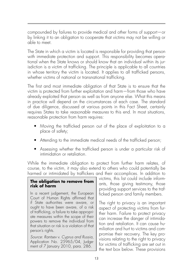compounded by failures to provide medical and other forms of support—or by linking it to an obligation to cooperate that victims may not be willing or able to meet.

The State in which a victim is located is responsible for providing that person with immediate protection and support. This responsibility becomes operational when the State knows or should know that an individual within its jurisdiction is a victim of trafficking. The principle is applicable to all countries in whose territory the victim is located. It applies to all trafficked persons, whether victims of national or transnational trafficking.

The first and most immediate obligation of that State is to ensure that the victim is protected from further exploitation and harm—from those who have already exploited that person as well as from anyone else. What this means in practice will depend on the circumstances of each case. The standard of due diligence, discussed at various points in this Fact Sheet, certainly requires States to take reasonable measures to this end. In most situations, reasonable protection from harm requires:

- Moving the trafficked person out of the place of exploitation to a place of safety;
- Attending to the immediate medical needs of the trafficked person;
- Assessing whether the trafficked person is under a particular risk of intimidation or retaliation.

While the immediate obligation to protect from further harm relates, of course, to the victim, it may also extend to others who could potentially be harmed or intimidated by traffickers and their accomplices. In addition to

#### **The obligation to remove from risk of harm**

In a recent judgement, the European Court of Human Rights affirmed that if State authorities were aware, or ought to have been aware, of a risk of trafficking, a failure to take appropriate measures within the scope of their powers to remove the individual from that situation or risk is a violation of that person's rights.

Source: Rantsev v. Cyprus and Russia, Application No. 25965/04, Judgement of 7 January 2010, para. 286.

victims, this list could include informants, those giving testimony, those providing support services to the trafficked person and family members.

The right to privacy is an important aspect of protecting victims from further harm. Failure to protect privacy can increase the danger of intimidation and retaliation. It can cause humiliation and hurt to victims and compromise their recovery. The key provisions relating to the right to privacy for victims of trafficking are set out in the text box below. These provisions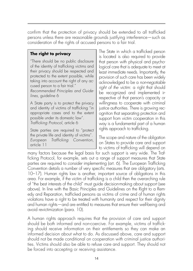confirm that the protection of privacy should be extended to all trafficked persons unless there are reasonable grounds justifying interference—such as consideration of the rights of accused persons to a fair trial.

## **The right to privacy**

"There should be no public disclosure of the identity of trafficking victims and their privacy should be respected and protected to the extent possible, while taking into account the right of any accused person to a fair trial."

Recommended Principles and Guidelines, guideline 6

A State party is to protect the privacy and identity of victims of trafficking "in appropriate cases and to the extent possible under its domestic law". Trafficking Protocol, article 6

State parties are required to "protect the private life and identity of victims". European Trafficking Convention, article 11

The State in which a trafficked person is located is also required to provide that person with physical and psychological care that is adequate to meet at least immediate needs. Importantly, the provision of such care has been widely acknowledged to be a non-negotiable right of the victim: a right that should be recognized and implemented irrespective of that person's capacity or willingness to cooperate with criminal justice authorities. There is growing recognition that separating protection and support from victim cooperation in this way is a fundamental part of a human rights approach to trafficking.

The scope and nature of the obligation on States to provide care and support to victims of trafficking will depend on

many factors because the legal basis for such support is very wide. The Trafficking Protocol, for example, sets out a range of support measures that State parties are required to consider implementing (art. 6). The European Trafficking Convention details a number of very specific measures that are obligatory (arts. 10–17). Human rights law is another, important source of obligations in this area. For example, if the victim of trafficking is a child then the overarching rule of "the best interests of the child" must guide decision-making about support (see above). In line with the Basic Principles and Guidelines on the Right to a Remedy and Reparation, trafficked persons as victims of crime and of human rights violations have a right to be treated with humanity and respect for their dignity and human rights—and are entitled to measures that ensure their well-being and avoid revictimization (para. 10).

A human rights approach requires that the provision of care and support should be both informed and non-coercive. For example, victims of trafficking should receive information on their entitlements so they can make an informed decision about what to do. As discussed above, care and support should not be made conditional on cooperation with criminal justice authorities. Victims should also be able to refuse care and support. They should not be forced into accepting or receiving assistance.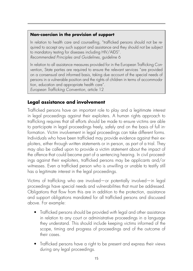#### **Non-coercion in the provision of support**

In relation to health care and counselling, "trafficked persons should not be required to accept any such support and assistance and they should not be subject to mandatory testing for diseases including HIV/AIDS". Recommended Principles and Guidelines, guideline 6

In relation to all assistance measures provided for in the European Trafficking Convention, State parties are required to ensure the relevant services "are provided on a consensual and informed basis, taking due account of the special needs of persons in a vulnerable position and the rights of children in terms of accommodation, education and appropriate health care".

European Trafficking Convention, article 12

## **Legal assistance and involvement**

Trafficked persons have an important role to play and a legitimate interest in legal proceedings against their exploiters. A human rights approach to trafficking requires that all efforts should be made to ensure victims are able to participate in legal proceedings freely, safely and on the basis of full information. Victim involvement in legal proceedings can take different forms. Individuals who have been trafficked may provide evidence against their exploiters, either through written statements or in person, as part of a trial. They may also be called upon to provide a victim statement about the impact of the offence that could become part of a sentencing hearing. In civil proceedings against their exploiters, trafficked persons may be applicants and/or witnesses. Even a trafficked person who is unwilling or unable to testify still has a legitimate interest in the legal proceedings.

Victims of trafficking who are involved—or potentially involved—in legal proceedings have special needs and vulnerabilities that must be addressed. Obligations that flow from this are in addition to the protection, assistance and support obligations mandated for all trafficked persons and discussed above. For example:

- Trafficked persons should be provided with legal and other assistance in relation to any court or administrative proceedings in a language they understand. This should include keeping victims informed of the scope, timing and progress of proceedings and of the outcome of their cases.
- Trafficked persons have a right to be present and express their views during any legal proceedings.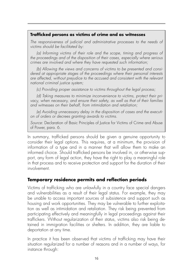#### **Trafficked persons as victims of crime and as witnesses**

The responsiveness of judicial and administrative processes to the needs of victims should be facilitated by:

(a) Informing victims of their role and the scope, timing and progress of the proceedings and of the disposition of their cases, especially where serious crimes are involved and where they have requested such information;

(b) Allowing the views and concerns of victims to be presented and considered at appropriate stages of the proceedings where their personal interests are affected, without prejudice to the accused and consistent with the relevant national criminal justice system;

(c) Providing proper assistance to victims throughout the legal process;

(d) Taking measures to minimize inconvenience to victims, protect their privacy, when necessary, and ensure their safety, as well as that of their families and witnesses on their behalf, from intimidation and retaliation;

(e) Avoiding unnecessary delay in the disposition of cases and the execution of orders or decrees granting awards to victims.

Source: Declaration of Basic Principles of Justice for Victims of Crime and Abuse of Power, para. 6.

In summary, trafficked persons should be given a genuine opportunity to consider their legal options. This requires, at a minimum, the provision of information of a type and in a manner that will allow them to make an informed choice. Should trafficked persons be involved in, or otherwise support, any form of legal action, they have the right to play a meaningful role in that process and to receive protection and support for the duration of their involvement.

## **Temporary residence permits and reflection periods**

Victims of trafficking who are unlawfully in a country face special dangers and vulnerabilities as a result of their legal status. For example, they may be unable to access important sources of subsistence and support such as housing and work opportunities. They may be vulnerable to further exploitation as well as intimidation and retaliation. They risk being prevented from participating effectively and meaningfully in legal proceedings against their traffickers. Without regularization of their status, victims also risk being detained in immigration facilities or shelters. In addition, they are liable to deportation at any time.

In practice it has been observed that victims of trafficking may have their situation regularized for a number of reasons and in a number of ways, for instance through: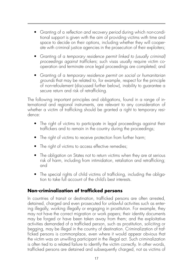- Granting of a reflection and recovery period during which non-conditional support is given with the aim of providing victims with time and space to decide on their options, including whether they will cooperate with criminal justice agencies in the prosecution of their exploiters;
- Granting of a temporary residence permit linked to (usually criminal) proceedings against traffickers; such visas usually require victim cooperation and terminate once legal proceedings are completed; and
- Granting of a temporary residence permit on social or humanitarian grounds that may be related to, for example, respect for the principle of non-refoulement (discussed further below), inability to guarantee a secure return and risk of retrafficking.

The following important principles and obligations, found in a range of international and regional instruments, are relevant to any consideration of whether a victim of trafficking should be granted a right to temporary residence:

- The right of victims to participate in legal proceedings against their traffickers and to remain in the country during the proceedings;
- The right of victims to receive protection from further harm;
- The right of victims to access effective remedies;
- The obligation on States not to return victims when they are at serious risk of harm, including from intimidation, retaliation and retrafficking; and
- The special rights of child victims of trafficking, including the obligation to take full account of the child's best interests.

## **Non-criminalization of trafficked persons**

In countries of transit or destination, trafficked persons are often arrested, detained, charged and even prosecuted for unlawful activities such as entering illegally, working illegally or engaging in prostitution. For example, they may not have the correct migration or work papers; their identity documents may be forged or have been taken away from them; and the exploitative activities demanded of a trafficked person, such as prostitution, soliciting or begging, may be illegal in the country of destination. Criminalization of trafficked persons is commonplace, even where it would appear obvious that the victim was an unwilling participant in the illegal act. Such criminalization is often tied to a related failure to identify the victim correctly. In other words, trafficked persons are detained and subsequently charged, not as victims of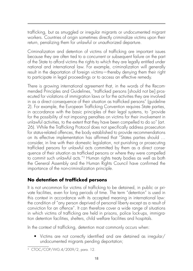trafficking, but as smuggled or irregular migrants or undocumented migrant workers. Countries of origin sometimes directly criminalize victims upon their return, penalizing them for unlawful or unauthorized departure.

Criminalization and detention of victims of trafficking are important issues because they are often tied to a concurrent or subsequent failure on the part of the State to afford victims the rights to which they are legally entitled under national and international law. For example, criminalization will generally result in the deportation of foreign victims—thereby denying them their right to participate in legal proceedings or to access an effective remedy.

There is growing international agreement that, in the words of the Recommended Principles and Guidelines, "trafficked persons [should not be] prosecuted for violations of immigration laws or for the activities they are involved in as a direct consequence of their situation as trafficked persons" (guideline 2). For example, the European Trafficking Convention requires State parties, in accordance with the basic principles of their legal systems, to "provide for the possibility of not imposing penalties on victims for their involvement in unlawful activities, to the extent that they have been compelled to do so" (art. 26). While the Trafficking Protocol does not specifically address prosecution for status-related offences, the body established to provide recommendations on its effective implementation has affirmed that "States parties should … consider, in line with their domestic legislation, not punishing or prosecuting trafficked persons for unlawful acts committed by them as a direct consequence of their situation as trafficked persons or where they were compelled to commit such unlawful acts."3 Human rights treaty bodies as well as both the General Assembly and the Human Rights Council have confirmed the importance of the non-criminalization principle.

## **No detention of trafficked persons**

It is not uncommon for victims of trafficking to be detained, in public or private facilities, even for long periods of time. The term "detention" is used in this context in accordance with its accepted meaning in international law: the condition of "any person deprived of personal liberty except as a result of conviction for an offence". It can therefore cover a wide range of situations in which victims of trafficking are held in prisons, police lock-ups, immigration detention facilities, shelters, child welfare facilities and hospitals.

In the context of trafficking, detention most commonly occurs when:

• Victims are not correctly identified and are detained as irregular/ undocumented migrants pending deportation;

<sup>3</sup> CTOC/COP/WG.4/2009/2, para. 12.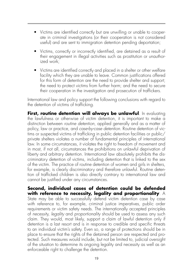- Victims are identified correctly but are unwilling or unable to cooperate in criminal investigations (or their cooperation is not considered useful) and are sent to immigration detention pending deportation;
- Victims, correctly or incorrectly identified, are detained as a result of their engagement in illegal activities such as prostitution or unauthorized work;
- Victims are identified correctly and placed in a shelter or other welfare facility which they are unable to leave. Common justifications offered for this form of detention are the need to provide shelter and support; the need to protect victims from further harm; and the need to secure their cooperation in the investigation and prosecution of traffickers.

International law and policy support the following conclusions with regard to the detention of victims of trafficking.

**First, routine detention will always be unlawful**. In evaluating the lawfulness or otherwise of victim detention, it is important to make a distinction between routine detention, applied generally and as a matter of policy, law or practice, and case-by-case detention. Routine detention of victims or suspected victims of trafficking in public detention facilities or public/ private shelters violates a number of fundamental principles of international law. In some circumstances, it violates the right to freedom of movement and in most, if not all, circumstances the prohibitions on unlawful deprivation of liberty and arbitrary detention. International law absolutely prohibits the discriminatory detention of victims, including detention that is linked to the sex of the victim. The practice of routine detention of women and girls in shelters, for example, is clearly discriminatory and therefore unlawful. Routine detention of trafficked children is also directly contrary to international law and cannot be justified under any circumstances.

**Second, individual cases of detention could be defended with reference to necessity, legality and proportionality**. A State may be able to successfully defend victim detention case by case with reference to, for example, criminal justice imperatives, public order requirements or victim safety needs. The internationally accepted principles of necessity, legality and proportionality should be used to assess any such claim. They would, most likely, support a claim of lawful detention only if detention is a last resort and is in response to credible and specific threats to an individual victim's safety. Even so, a range of protections should be in place to ensure that the rights of the detained person are respected and protected. Such measures would include, but not be limited to, judicial oversight of the situation to determine its ongoing legality and necessity as well as an enforceable right to challenge the detention.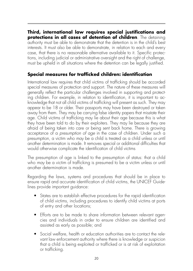**Third, international law requires special justifications and protections in all cases of detention of children**. The detaining authority must be able to demonstrate that the detention is in the child's best interests. It must also be able to demonstrate, in relation to each and every case, that there is no reasonable alternative available to it. Specific protections, including judicial or administrative oversight and the right of challenge, must be upheld in all situations where the detention can be legally justified.

## **Special measures for trafficked children: identification**

International law requires that child victims of trafficking should be accorded special measures of protection and support. The nature of these measures will generally reflect the particular challenges involved in supporting and protecting children. For example, in relation to identification, it is important to acknowledge that not all child victims of trafficking will present as such. They may appear to be 18 or older. Their passports may have been destroyed or taken away from them. They may be carrying false identity papers that misstate their age. Child victims of trafficking may lie about their age because this is what they have been told to do by their exploiters. They may lie because they are afraid of being taken into care or being sent back home. There is growing acceptance of a presumption of age in the case of children. Under such a presumption, a victim who may be a child is treated as a child unless or until another determination is made. It removes special or additional difficulties that would otherwise complicate the identification of child victims

The presumption of age is linked to the presumption of status: that a child who may be a victim of trafficking is presumed to be a victim unless or until another determination is made.

Regarding the laws, systems and procedures that should be in place to ensure rapid and accurate identification of child victims, the UNICEF Guidelines provide important guidance:

- States are to establish effective procedures for the rapid identification of child victims, including procedures to identify child victims at ports of entry and other locations;
- Efforts are to be made to share information between relevant agencies and individuals in order to ensure children are identified and assisted as early as possible; and
- Social welfare, health or education authorities are to contact the relevant law enforcement authority where there is knowledge or suspicion that a child is being exploited or trafficked or is at risk of exploitation or trafficking.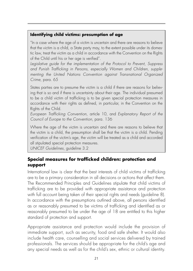#### **Identifying child victims: presumption of age**

"In a case where the age of a victim is uncertain and there are reasons to believe that the victim is a child, a State party may, to the extent possible under its domestic law, treat the victim as a child in accordance with the Convention on the Rights of the Child until his or her age is verified".

Legislative guide for the implementation of the Protocol to Prevent, Suppress and Punish Trafficking in Persons, especially Women and Children, supplementing the United Nations Convention against Transnational Organized Crime, para. 65

States parties are to presume the victim is a child if there are reasons for believing that is so and if there is uncertainty about their age. The individual presumed to be a child victim of trafficking is to be given special protection measures in accordance with their rights as defined, in particular, in the Convention on the Rights of the Child.

European Trafficking Convention, article 10, and Explanatory Report of the Council of Europe to the Convention, para. 136

Where the age of the victim is uncertain and there are reasons to believe that the victim is a child, the presumption shall be that the victim is a child. Pending verification of the victim's age, the victim will be treated as a child and accorded all stipulated special protection measures.

UNICEF Guidelines, guideline 3.2

## **Special measures for trafficked children: protection and support**

International law is clear that the best interests of child victims of trafficking are to be a primary consideration in all decisions or actions that affect them. The Recommended Principles and Guidelines stipulate that child victims of trafficking are to be provided with appropriate assistance and protection with full account being taken of their special rights and needs (guideline 8). In accordance with the presumptions outlined above, all persons identified as or reasonably presumed to be victims of trafficking and identified as or reasonably presumed to be under the age of 18 are entitled to this higher standard of protection and support.

Appropriate assistance and protection would include the provision of immediate support, such as security, food and safe shelter. It would also include health care, counselling and social services delivered by trained professionals. The services should be appropriate for the child's age and any special needs as well as for the child's sex, ethnic or cultural identity.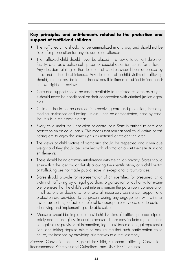#### **Key principles and entitlements related to the protection and support of trafficked children**

- The trafficked child should not be criminalized in any way and should not be liable for prosecution for any status-related offences;
- The trafficked child should never be placed in a law enforcement detention facility, such as a police cell, prison or special detention centre for children. Any decision relating to the detention of children should be made case by case and in their best interests. Any detention of a child victim of trafficking should, in all cases, be for the shortest possible time and subject to independent oversight and review.
- Care and support should be made available to trafficked children as a right. It should never be conditional on their cooperation with criminal justice agencies.
- Children should not be coerced into receiving care and protection, including medical assistance and testing, unless it can be demonstrated, case by case, that this is in their best interests;
- Every child under the jurisdiction or control of a State is entitled to care and protection on an equal basis. This means that non-national child victims of trafficking are to enjoy the same rights as national or resident children.
- The views of child victims of trafficking should be respected and given due weight and they should be provided with information about their situation and entitlements;
- There should be no arbitrary interference with the child's privacy. States should ensure that the identity, or details allowing the identification, of a child victim of trafficking are not made public, save in exceptional circumstances.
- States should provide for representation of an identified (or presumed) child victim of trafficking by a legal guardian, organization or authority, for example to ensure that the child's best interests remain the paramount consideration in all actions or decisions; to ensure all necessary assistance, support and protection are provided; to be present during any engagement with criminal justice authorities; to facilitate referral to appropriate services; and to assist in identifying and implementing a durable solution.
- Measures should be in place to assist child victims of trafficking to participate, safely and meaningfully, in court processes. These may include regularization of legal status; provision of information, legal assistance and legal representation; and taking steps to minimize any trauma that such participation could cause, for instance by providing alternatives to direct testimony.

Sources: Convention on the Rights of the Child, European Trafficking Convention, Recommended Principles and Guidelines, and UNICEF Guidelines.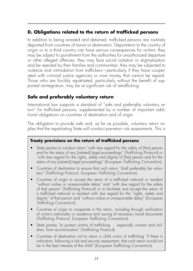## **D. Obligations related to the return of trafficked persons**

In addition to being arrested and detained, trafficked persons are routinely deported from countries of transit or destination. Deportation to the country of origin or to a third country can have serious consequences for victims: they may be subject to punishment from the authorities for unauthorized departure or other alleged offences; they may face social isolation or stigmatization and be rejected by their families and communities; they may be subjected to violence and intimidation from traffickers—particularly if they have cooperated with criminal justice agencies or owe money that cannot be repaid. Those who are forcibly repatriated, particularly without the benefit of supported reintegration, may be at significant risk of retrafficking.

## **Safe and preferably voluntary return**

International law supports a standard of "safe and preferably voluntary return" for trafficked persons, supplemented by a number of important additional obligations on countries of destination and of origin.

The obligation to provide safe and, as far as possible, voluntary return implies that the repatriating State will conduct pre-return risk assessments. This is

#### **Treaty provisions on the return of trafficked persons**

- State parties to conduct return "with due regard for the safety of [the] person and for the status of any [related] legal proceedings" (Trafficking Protocol) or "with due regard for the rights, safety and dignity of [the] person and for the status of any [related] legal proceedings" (European Trafficking Convention).
- Countries of destination to ensure that such return "shall preferably be voluntary" (Trafficking Protocol, European Trafficking Convention).
- Countries of origin to accept the return of a trafficked national or resident "without undue or unreasonable delay" and "with due regard for the safety of that person" (Trafficking Protocol) or to facilitate and accept the return of a trafficked national or resident with due regard for the "rights, safety and dignity" of that person and "without undue or unreasonable delay" (European Trafficking Convention).
- Countries of origin to cooperate in the return, including through verification of victim's nationality or residence and issuing of necessary travel documents (Trafficking Protocol, European Trafficking Convention).
- State parties "to protect victims of trafficking ... especially women and children, from revictimization" (Trafficking Protocol).
- Countries of destination not to return a child victim of trafficking "if there is indication, following a risk and security assessment, that such return would not be in the best interests of the child" (European Trafficking Convention).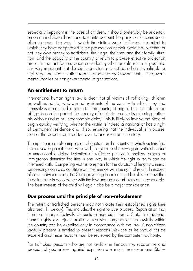especially important in the case of children. It should preferably be undertaken on an individual basis and take into account the particular circumstances of each case. The way in which the victims were trafficked, the extent to which they have cooperated in the prosecution of their exploiters, whether or not they owe money to traffickers, their age, their sex and their family situation, and the capacity of the country of return to provide effective protection are all important factors when considering whether safe return is possible. It is very important that decisions on return are not based on unverifiable or highly generalized situation reports produced by Governments, intergovernmental bodies or non-governmental organizations.

## **An entitlement to return**

International human rights law is clear that all victims of trafficking, children as well as adults, who are not residents of the country in which they find themselves are entitled to return to their country of origin. This right places an obligation on the part of the country of origin to receive its returning nationals without undue or unreasonable delay. This is likely to involve the State of origin quickly verifying whether the victim is indeed a national or has a right of permanent residence and, if so, ensuring that the individual is in possession of the papers required to travel to and re-enter its territory.

The right to return also implies an obligation on the country in which victims find themselves to permit those who wish to return to do so—again without undue or unreasonable delay. Detention of trafficked persons in shelters, prisons or immigration detention facilities is one way in which the right to return can be interfered with. Compelling victims to remain for the duration of lengthy criminal proceedings can also constitute an interference with the right of return. In respect of each individual case, the State preventing the return must be able to show that its actions are in accordance with the law and are not arbitrary or unreasonable. The best interests of the child will again also be a major consideration.

## **Due process and the principle of non-refoulement**

The return of trafficked persons may not violate their established rights (see also sect. H below). This includes the right to due process. Repatriation that is not voluntary effectively amounts to expulsion from a State. International human rights law rejects arbitrary expulsion; any non-citizen lawfully within the country can be expelled only in accordance with the law. A non-citizen lawfully present is entitled to present reasons why she or he should not be expelled and these reasons must be reviewed by the competent authority.

For trafficked persons who are not lawfully in the country, substantive and procedural guarantees against expulsion are much less clear and States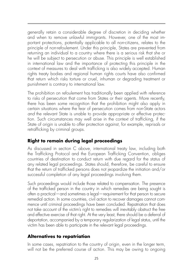generally retain a considerable degree of discretion in deciding whether and when to remove unlawful immigrants. However, one of the most important protections, potentially applicable to all non-citizens, relates to the principle of non-refoulement. Under this principle, States are prevented from returning an individual to a country where there is a serious risk that she or he will be subject to persecution or abuse. This principle is well established in international law and the importance of protecting this principle in the context of measures to deal with trafficking is also widely accepted. Human rights treaty bodies and regional human rights courts have also confirmed that return which risks torture or cruel, inhuman or degrading treatment or punishment is contrary to international law.

The prohibition on refoulement has traditionally been applied with reference to risks of persecution that come from States or their agents. More recently, there has been some recognition that the prohibition might also apply in certain situations where the fear of persecution comes from non-State actors and the relevant State is unable to provide appropriate or effective protection. Such circumstances may well arise in the context of trafficking, if the State of origin is unable to offer protection against, for example, reprisals or retrafficking by criminal groups.

## **Right to remain during legal proceedings**

As discussed in section C above, international treaty law, including both the Trafficking Protocol and the European Trafficking Convention, obliges countries of destination to conduct return with due regard for the status of any related legal proceedings. States should, therefore, be careful to ensure that the return of trafficked persons does not jeopardize the initiation and/or successful completion of any legal proceedings involving them.

Such proceedings would include those related to compensation. The presence of the trafficked person in the country in which remedies are being sought is often a practical—and sometimes a legal—requirement for that person to secure remedial action. In some countries, civil action to recover damages cannot commence until criminal proceedings have been concluded. Repatriation that does not take account of the victim's right to remedies will inevitably obstruct the free and effective exercise of that right. At the very least, there should be a deferral of deportation, accompanied by a temporary regularization of legal status, until the victim has been able to participate in the relevant legal proceedings.

## **Alternatives to repatriation**

In some cases, repatriation to the country of origin, even in the longer term, will not be the preferred course of action. This may be owing to ongoing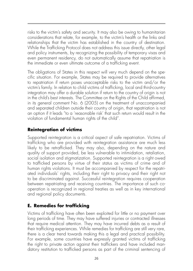risks to the victim's safety and security. It may also be owing to humanitarian considerations that relate, for example, to the victim's health or the links and relationships that the victim has established in the country of destination. While the Trafficking Protocol does not address this issue directly, other legal and policy instruments, by recognizing the possibility of temporary visas and even permanent residency, do not automatically assume that repatriation is the immediate or even ultimate outcome of a trafficking event.

The obligations of States in this respect will very much depend on the specific situation. For example, States may be required to provide alternatives to repatriation if return poses unacceptable risks to the victim and/or the victim's family. In relation to child victims of trafficking, local and third-country integration may offer a durable solution if return to the country of origin is not in the child's best interests. The Committee on the Rights of the Child affirmed, in its general comment No. 6 (2005) on the treatment of unaccompanied and separated children outside their country of origin, that repatriation is not an option if it leads "to a 'reasonable risk' that such return would result in the violation of fundamental human rights of the child".

## **Reintegration of victims**

Supported reintegration is a critical aspect of safe repatriation. Victims of trafficking who are provided with reintegration assistance are much less likely to be retrafficked. They may also, depending on the nature and quality of support provided, be less vulnerable to intimidation, retaliation, social isolation and stigmatization. Supported reintegration is a right owed to trafficked persons by virtue of their status as victims of crime and of human rights violations. It must be accompanied by respect for the repatriated individuals' rights, including their right to privacy and their right not to be discriminated against. Successful reintegration requires cooperation between repatriating and receiving countries. The importance of such cooperation is recognized in regional treaties as well as in key international and regional policy documents.

## **E. Remedies for trafficking**

Victims of trafficking have often been exploited for little or no payment over long periods of time. They may have suffered injuries or contracted illnesses that require medical attention. They may have incurred debts as a result of their trafficking experiences. While remedies for trafficking are still very rare, there is a clear trend towards making this a legal and practical possibility. For example, some countries have expressly granted victims of trafficking the right to private action against their traffickers and have included mandatory restitution to trafficked persons as part of the criminal sentencing of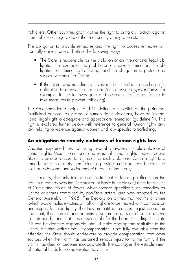traffickers. Other countries grant victims the right to bring civil action against their traffickers, regardless of their nationality or migration status.

The obligation to provide remedies and the right to access remedies will normally arise in one or both of the following ways:

- The State is responsible for the violation of an international legal obligation (for example, the prohibition on non-discrimination, the obligation to criminalize trafficking, and the obligation to protect and support victims of trafficking);
- If the State was not directly involved, but it failed to discharge its obligation to prevent the harm and/or to respond appropriately (for example, failure to investigate and prosecute trafficking; failure to take measures to prevent trafficking).

The Recommended Principles and Guidelines are explicit on the point that "trafficked persons, as victims of human rights violations, have an international legal right to adequate and appropriate remedies" (guideline 9). This right is explored further below with reference to general human rights law, law relating to violence against women and law specific to trafficking.

## **An obligation to remedy violations of human rights law**

Chapter I explained how trafficking invariably involves multiple violations of human rights. Most international and regional human rights treaties require States to provide access to remedies for such violations. Once a right to a remedy exists in a treaty then failure to provide such a remedy becomes of itself an additional and independent breach of that treaty.

Until recently, the only international instrument to focus specifically on the right to a remedy was the Declaration of Basic Principles of Justice for Victims of Crime and Abuse of Power, which focuses specifically on remedies for victims of crimes committed by non-State actors, and was adopted by the General Assembly in 1985. The Declaration affirms that victims of crime (which would include victims of trafficking) are to be treated with compassion and respect for their dignity; that they are entitled to access to justice and fair treatment; that judicial and administrative processes should be responsive to their needs; and that those responsible for the harm, including the State if it can be deemed responsible, should make appropriate restitution to the victim. It further affirms that, if compensation is not fully available from the offender, the State should endeavour to provide compensation from other sources when the victim has sustained serious injury (or to the family if the victim has died or become incapacitated). It encourages the establishment of national funds for compensation to victims.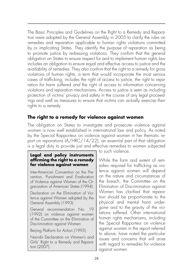The Basic Principles and Guidelines on the Right to a Remedy and Reparation were adopted by the General Assembly in 2005 to clarify the rules on remedies and reparation applicable to human rights violations committed by or implicating States. They identify the purpose of reparation as being to promote justice by redressing violations. They confirm that the general obligation on States to ensure respect for and to implement human rights law includes an obligation to ensure equal and effective access to justice and the availability of remedies. They also confirm that the right to a remedy for gross violations of human rights, a term that would incorporate the most serious cases of trafficking, includes the right of access to justice, the right to reparation for harm suffered and the right of access to information concerning violations and reparation mechanisms. Access to justice is seen as including protection of victims' privacy and safety in the course of any legal proceedings and well as measures to ensure that victims can actually exercise their rights to a remedy.

## **The right to a remedy for violence against women**

The obligation on States to investigate and prosecute violence against women is now well established in international law and policy. As noted by the Special Rapporteur on violence against women in her thematic report on reparations (A/HRC/14/22), an essential part of that obligation is a legal duty to provide just and effective remedies to women subjected

#### **Legal and policy instruments affirming the right to a remedy for violence against women**

Inter-American Convention on the Prevention, Punishment and Eradication of Violence against Women of the Organization of American States (1994)

Declaration on the Elimination of Violence against Women adopted by the General Assembly (1993)

General recommendation No. 19 (1992) on violence against women of the Committee on the Elimination of Discrimination against Women

Beijing Platform for Action (1995)

Nairobi Declaration on Women's and Girls' Right to a Remedy and Reparation (2007).

to such violence.

While the form and extent of remedies required for trafficking as violence against women will depend on the nature and circumstances of the breach, the Committee on the Elimination of Discrimination against Women has clarified that reparation should be proportionate to the physical and mental harm undergone and to the gravity of the violations suffered. Other international human rights mechanisms, including the Special Rapporteur on violence against women in the report referred to above, have noted the particular issues and concerns that will arise with regard to remedies for violence against women.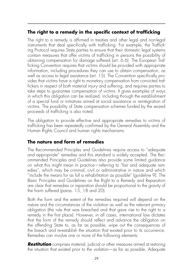## **The right to a remedy in the specific context of trafficking**

The right to a remedy is affirmed in treaties and other legal and non-legal instruments that deal specifically with trafficking. For example, the Trafficking Protocol requires State parties to ensure that their domestic legal systems contain measures that offer victims of trafficking in persons the possibility of obtaining compensation for damage suffered (art. 6.6). The European Trafficking Convention requires that victims should be provided with appropriate information, including procedures they can use to obtain compensation, as well as access to legal assistance (art. 15). The Convention specifically provides that victims have a right to monetary compensation from convicted traffickers in respect of both material injury and suffering, and requires parties to take steps to guarantee compensation of victims. It gives examples of ways in which this obligation can be realized, including through the establishment of a special fund or initiatives aimed at social assistance or reintegration of victims. The possibility of State compensation schemes funded by the seized proceeds of trafficking is also noted.

The obligation to provide effective and appropriate remedies to victims of trafficking has been repeatedly confirmed by the General Assembly and the Human Rights Council and human rights mechanisms.

## **The nature and form of remedies**

The Recommended Principles and Guidelines require access to "adequate and appropriate" remedies and this standard is widely accepted. The Recommended Principles and Guidelines also provide some limited guidance on what this might mean in practice—referring to "fair and adequate remedies", which may be criminal, civil or administrative in nature and which "include the means for as full a rehabilitation as possible" (guideline 9). The Basic Principles and Guidelines on the Right to a Remedy and Reparation are clear that remedies or reparation should be proportional to the gravity of the harm suffered (paras. 15, 18 and 20).

Both the form and the extent of the remedies required will depend on the nature and the circumstances of the violation as well as the relevant primary obligation (the rule that was breached and that gave rise to the right to a remedy in the first place). However, in all cases, international law dictates that the form of the remedy should reflect and advance the obligation on the offending State to, as far as possible, wipe out the consequences of the breach and re-establish the situation that existed prior to its occurrence. Remedies can involve one or more of the following elements:

*Restitution* comprises material, judicial or other measures aimed at restoring the situation that existed prior to the violation—as far as possible. Adequate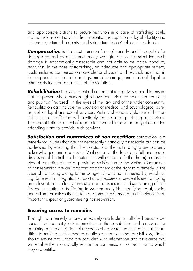and appropriate actions to secure restitution in a case of trafficking could include: release of the victim from detention; recognition of legal identity and citizenship; return of property; and safe return to one's place of residence.

*Compensation* is the most common form of remedy and is payable for damage caused by an internationally wrongful act to the extent that such damage is economically assessable and not able to be made good by restitution. In the case of trafficking, an adequate and appropriate remedy could include: compensation payable for physical and psychological harm, lost opportunities, loss of earnings, moral damage, and medical, legal or other costs incurred as a result of the violation.

*Rehabilitation* is a victim-centred notion that recognizes a need to ensure that the person whose human rights have been violated has his or her status and position "restored" in the eyes of the law and of the wider community. Rehabilitation can include the provision of medical and psychological care, as well as legal and social services. Victims of serious violations of human rights such as trafficking will inevitably require a range of support services. The rehabilitation element of reparations would impose an obligation on the offending State to provide such services.

*Satisfaction* **and** *guarantees of non-repetition*: satisfaction is a remedy for injuries that are not necessarily financially assessable but can be addressed by ensuring that the violations of the victim's rights are properly acknowledged and dealt with. Verification of the facts and full and public disclosure of the truth (to the extent this will not cause further harm) are examples of remedies aimed at providing satisfaction to the victim. Guarantees of non-repetition are an important component of the right to a remedy in the case of trafficking owing to the danger of, and harm caused by, retrafficking. Safe return, integration support and measures to prevent future trafficking are relevant, as is effective investigation, prosecution and sanctioning of traffickers. In relation to trafficking in women and girls, modifying legal, social and cultural practices that sustain or promote tolerance of such violence is an important aspect of guaranteeing non-repetition.

## **Ensuring access to remedies**

The right to a remedy is rarely effectively available to trafficked persons because they frequently lack information on the possibilities and processes for obtaining remedies. A right of access to effective remedies means that, in addition to making such remedies available under criminal or civil law, States should ensure that victims are provided with information and assistance that will enable them to actually secure the compensation or restitution to which they are entitled.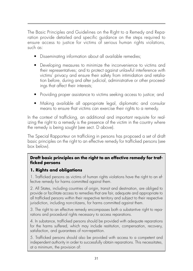The Basic Principles and Guidelines on the Right to a Remedy and Reparation provide detailed and specific guidance on the steps required to ensure access to justice for victims of serious human rights violations, such as:

- Disseminating information about all available remedies;
- Developing measures to minimize the inconvenience to victims and their representatives; and to protect against unlawful interference with victims' privacy and ensure their safety from intimidation and retaliation before, during and after judicial, administrative or other proceedings that affect their interests;
- Providing proper assistance to victims seeking access to justice; and
- Making available all appropriate legal, diplomatic and consular means to ensure that victims can exercise their rights to a remedy.

In the context of trafficking, an additional and important requisite for realizing the right to a remedy is the presence of the victim in the country where the remedy is being sought (see sect. D above).

The Special Rapporteur on trafficking in persons has proposed a set of draft basic principles on the right to an effective remedy for trafficked persons (see box below).

#### **Draft basic principles on the right to an effective remedy for trafficked persons**

#### **1. Rights and obligations**

1. Trafficked persons as victims of human rights violations have the right to an effective remedy for harms committed against them.

2. All States, including countries of origin, transit and destination, are obliged to provide or facilitate access to remedies that are fair, adequate and appropriate to all trafficked persons within their respective territory and subject to their respective jurisdiction, including non-citizens, for harms committed against them.

3. The right to an effective remedy encompasses both a substantive right to reparations and procedural rights necessary to access reparations.

4. In substance, trafficked persons should be provided with adequate reparations for the harms suffered, which may include restitution, compensation, recovery, satisfaction, and guarantees of non-repetition.

5. Trafficked persons should also be provided with access to a competent and independent authority in order to successfully obtain reparations. This necessitates, at a minimum, the provision of: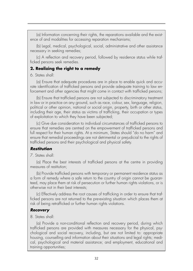(a) Information concerning their rights, the reparations available and the existence of and modalities for accessing reparation mechanisms;

(b) Legal, medical, psychological, social, administrative and other assistance necessary in seeking remedies;

(c) A reflection and recovery period, followed by residence status while trafficked persons seek remedies.

#### **2. Realizing the right to a remedy**

6. States shall:

(a) Ensure that adequate procedures are in place to enable quick and accurate identification of trafficked persons and provide adequate training to law enforcement and other agencies that might come in contact with trafficked persons;

(b) Ensure that trafficked persons are not subjected to discriminatory treatment in law or in practice on any ground, such as race, colour, sex, language, religion, political or other opinion, national or social origin, property, birth or other status, including their age, their status as victims of trafficking, their occupation or types of exploitation to which they have been subjected;

(c) Give due consideration to individual circumstances of trafficked persons to ensure that remedies are centred on the empowerment of trafficked persons and full respect for their human rights. At a minimum, States should "do no harm" and ensure that remedial proceedings are not detrimental or prejudicial to the rights of trafficked persons and their psychological and physical safety.

#### *Restitution*

7. States shall:

(a) Place the best interests of trafficked persons at the centre in providing measures of restitution;

(b) Provide trafficked persons with temporary or permanent residence status as a form of remedy where a safe return to the country of origin cannot be guaranteed, may place them at risk of persecution or further human rights violations, or is otherwise not in their best interests;

(c) Effectively address the root causes of trafficking in order to ensure that trafficked persons are not returned to the pre-existing situation which places them at risk of being retrafficked or further human rights violations.

#### *Recovery*

8. States shall:

(a) Provide a non-conditional reflection and recovery period, during which trafficked persons are provided with measures necessary for the physical, psychological and social recovery, including, but are not limited to: appropriate housing, counselling and information about their situations and legal rights; medical, psychological and material assistance; and employment, educational and training opportunities;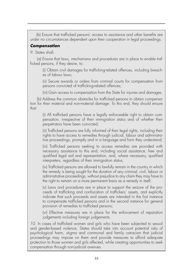(b) Ensure that trafficked persons' access to assistance and other benefits are under no circumstances dependent upon their cooperation in legal proceedings.

#### *Compensation*

9. States shall:

(a) Ensure that laws, mechanisms and procedures are in place to enable trafficked persons, if they desire, to:

(i) Obtain civil damages for trafficking-related offences, including breaches of labour laws;

(ii) Secure awards or orders from criminal courts for compensation from persons convicted of trafficking-related offences;

(iii) Gain access to compensation from the State for injuries and damages.

(b) Address the common obstacles for trafficked persons to obtain compensation for their material and non-material damage. To this end, they should ensure that:

(i) All trafficked persons have a legally enforceable right to obtain compensation, irrespective of their immigration status and of whether their perpetrators have been convicted;

(ii) Trafficked persons are fully informed of their legal rights, including their rights to have access to remedies through judicial, labour and administrative proceedings, promptly and in a language and form they understand;

(iii) Trafficked persons seeking to access remedies are provided with necessary assistance to this end, including social assistance, free and qualified legal aid and representation, and, where necessary, qualified interpreters, regardless of their immigration status;

(iv) Trafficked persons are allowed to lawfully remain in the country in which the remedy is being sought for the duration of any criminal, civil, labour or administrative proceedings, without prejudice to any claim they may have to the right to remain on a more permanent basis as a remedy in itself;

(v) Laws and procedures are in place to support the seizure of the proceeds of trafficking and confiscation of traffickers' assets, and explicitly indicate that such proceeds and assets are intended in the first instance to compensate trafficked persons and in the second instance for general provision of remedies to trafficked persons;

(vi) Effective measures are in place for the enforcement of reparation judgements including foreign judgements.

10. In cases of trafficked women and girls who have been subjected to sexual and gender-based violence, States should take into account potential risks of psychological harm, stigma and communal and family ostracism that judicial proceedings may impose on them and provide measures to afford adequate protection to those women and girls affected, while creating opportunities to seek compensation through non-judicial avenues.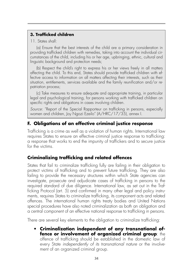#### **3. Trafficked children**

11. States shall:

(a) Ensure that the best interests of the child are a primary consideration in providing trafficked children with remedies, taking into account the individual circumstances of the child, including his or her age, upbringing, ethnic, cultural and linguistic background and protection needs;

(b) Respect the child's right to express his or her views freely in all matters affecting the child. To this end, States should provide trafficked children with effective access to information on all matters affecting their interests, such as their situation, entitlements, services available and the family reunification and/or repatriation process;

(c) Take measures to ensure adequate and appropriate training, in particular legal and psychological training, for persons working with trafficked children on specific rights and obligations in cases involving children.

Source: "Report of the Special Rapporteur on trafficking in persons, especially women and children, Joy Ngozi Ezeilo" (A/HRC/17/35), annex I.

## **F. Obligations of an effective criminal justice response**

Trafficking is a crime as well as a violation of human rights. International law requires States to ensure an effective criminal justice response to trafficking: a response that works to end the impunity of traffickers and to secure justice for the victims.

## **Criminalizing trafficking and related offences**

States that fail to criminalize trafficking fully are failing in their obligation to protect victims of trafficking and to prevent future trafficking. They are also failing to provide the necessary structures within which State agencies can investigate, prosecute and adjudicate cases of trafficking in persons to the required standard of due diligence. International law, as set out in the Trafficking Protocol (art. 5) and confirmed in many other legal and policy instruments, requires States to criminalize trafficking, its component acts and related offences. The international human rights treaty bodies and United Nations special procedures have also noted criminalization as both an obligation and a central component of an effective national response to trafficking in persons.

There are several key elements to the obligation to criminalize trafficking:

• **Criminalization independent of any transnational offence or involvement of organized criminal group**: the offence of trafficking should be established in the domestic law of every State independently of its transnational nature or the involvement of an organized criminal group.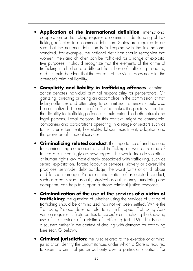- **Application of the international definition**: international cooperation on trafficking requires a common understanding of trafficking, reflected in a common definition. States are required to ensure that the national definition is in keeping with the international standard. For example, the national definition should recognize that women, men and children can be trafficked for a range of exploitative purposes; it should recognize that the elements of the crime of trafficking in children are different from those of trafficking in adults; and it should be clear that the consent of the victim does not alter the offender's criminal liability.
- **Complicity and liability in trafficking offences: criminali**zation denotes individual criminal responsibility for perpetrators. Organizing, directing or being an accomplice in the commission of trafficking offences and attempting to commit such offences should also be criminalized. The nature of trafficking makes it especially important that liability for trafficking offences should extend to both natural and legal persons. Legal persons, in this context, might be commercial companies and corporations operating in a range of sectors such as tourism, entertainment, hospitality, labour recruitment, adoption and the provision of medical services.
- **Criminalizing related conduct**: the importance of and the need for criminalizing component acts of trafficking as well as related offences are increasingly acknowledged. This would include violations of human rights law most directly associated with trafficking, such as sexual exploitation, forced labour or services, slavery or slavery-like practices, servitude, debt bondage, the worst forms of child labour and forced marriage. Proper criminalization of associated conduct, such as rape, sexual assault, physical assault, money laundering and corruption, can help to support a strong criminal justice response.
- **Criminalization of the use of the services of a victim of trafficking**: the question of whether using the services of victims of trafficking should be criminalized has not yet been settled. While the Trafficking Protocol does not refer to it, the European Trafficking Convention requires its State parties to consider criminalizing the knowing use of the services of a victim of trafficking (art. 19). This issue is discussed further in the context of dealing with demand for trafficking (see sect. G below).
- **Criminal jurisdiction**: the rules related to the exercise of criminal jurisdiction identify the circumstances under which a State is required to assert its criminal justice authority over a particular situation. For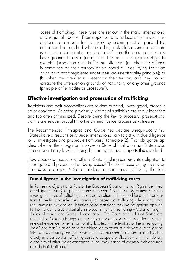cases of trafficking, these rules are set out in the major international and regional treaties. Their objective is to reduce or eliminate jurisdictional safe havens for traffickers by ensuring that all parts of the crime can be punished wherever they took place. Another concern is to ensure coordination mechanisms if more than one country may have grounds to assert jurisdiction. The main rules require States to exercise jurisdiction over trafficking offences: (a) when the offence is committed on their territory or on board a vessel flying their flag or on an aircraft registered under their laws (territoriality principle); or (b) when the offender is present on their territory and they do not extradite the offender on grounds of nationality or any other grounds (principle of "extradite or prosecute").

## **Effective investigation and prosecution of trafficking**

Traffickers and their accomplices are seldom arrested, investigated, prosecuted or convicted. As noted previously, victims of trafficking are rarely identified and too often criminalized. Despite being the key to successful prosecutions, victims are seldom brought into the criminal justice process as witnesses.

The Recommended Principles and Guidelines declare unequivocally that "States have a responsibility under international law to act with due diligence to … investigate and prosecute traffickers" (principle 2). That obligation applies whether the allegation involves a State official or a non-State actor. International treaty law, including human rights law, supports this standard.

How does one measure whether a State is taking seriously its obligation to investigate and prosecute trafficking cases? The worst case will generally be the easiest to decide. A State that does not criminalize trafficking, that fails

#### **Due diligence in the investigation of trafficking cases**

In Rantsev v. Cyprus and Russia, the European Court of Human Rights identified an obligation on State parties to the European Convention on Human Rights to investigate cases of trafficking. The Court emphasized the need for such investigations to be full and effective: covering all aspects of trafficking allegations, from recruitment to exploitation. It further noted that these positive obligations applied to the various States potentially involved in human trafficking—States of origin, States of transit and States of destination. The Court affirmed that States are required to "take such steps as are necessary and available in order to secure relevant evidence, whether or not it is located in the territory of the investigating State" and that "in addition to the obligation to conduct a domestic investigation into events occurring on their own territories, member States are also subject to a duty in cross-border trafficking cases to cooperate effectively with the relevant authorities of other States concerned in the investigation of events which occurred outside their territories".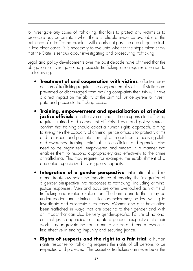to investigate any cases of trafficking, that fails to protect any victims or to prosecute any perpetrators when there is reliable evidence available of the existence of a trafficking problem will clearly not pass the due diligence test. In less clear cases, it is necessary to evaluate whether the steps taken show that the State is serious about investigating and prosecuting trafficking.

Legal and policy developments over the past decade have affirmed that the obligation to investigate and prosecute trafficking also requires attention to the following:

- **Treatment of and cooperation with victims**: effective prosecution of trafficking requires the cooperation of victims. If victims are prevented or discouraged from making complaints then this will have a direct impact on the ability of the criminal justice system to investigate and prosecute trafficking cases.
- **Training, empowerment and specialization of criminal justice officials**: an effective criminal justice response to trafficking requires trained and competent officials. Legal and policy sources confirm that training should adopt a human rights approach, aiming to strengthen the capacity of criminal justice officials to protect victims and to respect and promote their rights. In addition to receiving skills and awareness training, criminal justice officials and agencies also need to be organized, empowered and funded in a manner that enables them to respond appropriately and effectively to the crime of trafficking. This may require, for example, the establishment of a dedicated, specialized investigatory capacity.
- **Integration of a gender perspective:** international and regional treaty law notes the importance of ensuring the integration of a gender perspective into responses to trafficking, including criminal justice responses. Men and boys are often overlooked as victims of trafficking and related exploitation. The harm done to them may be underreported and criminal justice agencies may be less willing to investigate and prosecute such cases. Women and girls have often been trafficked in ways that are specific to their gender and with an impact that can also be very gender-specific. Failure of national criminal justice agencies to integrate a gender perspective into their work may aggravate the harm done to victims and render responses less effective in ending impunity and securing justice.
- **Rights of suspects and the right to a fair trial**: a human rights response to trafficking requires the rights of all persons to be respected and protected. The pursuit of traffickers can never be at the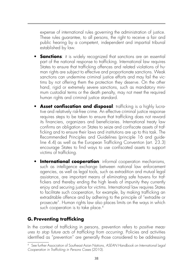expense of international rules governing the administration of justice. These rules guarantee, to all persons, the right to receive a fair and public hearing by a competent, independent and impartial tribunal established by law.

- **Sanctions**: it is widely recognized that sanctions are an essential part of the national response to trafficking. International law requires States to ensure that trafficking offences and related violations of human rights are subject to effective and proportionate sanctions. Weak sanctions can undermine criminal justice efforts and may fail the victims by not offering them the protection they deserve. On the other hand, rigid or extremely severe sanctions, such as mandatory minimum custodial terms or the death penalty, may not meet the required human rights and criminal justice standard.
- **Asset confiscation and disposal:** trafficking is a highly lucrative and relatively risk-free crime. An effective criminal justice response requires steps to be taken to ensure that trafficking does not reward its financiers, organizers and beneficiaries. International treaty law confirms an obligation on States to seize and confiscate assets of trafficking and to ensure their laws and institutions are up to this task. The Recommended Principles and Guidelines (principle 16 and guideline 4.4) as well as the European Trafficking Convention (art. 23.3) encourage States to find ways to use confiscated assets to support victims of trafficking.
- **International cooperation**: informal cooperation mechanisms, such as intelligence exchange between national law enforcement agencies, as well as legal tools, such as extradition and mutual legal assistance, are important means of eliminating safe havens for traffickers and thereby ending the high levels of impunity they currently enjoy and securing justice for victims. International law requires States to facilitate such cooperation, for example, by making trafficking an extraditable offence and by adhering to the principle of "extradite or prosecute". Human rights law also places limits on the ways in which such cooperation is to take place.<sup>4</sup>

## **G. Preventing trafficking**

In the context of trafficking in persons, prevention refers to positive measures to stop future acts of trafficking from occurring. Policies and activities identified as "prevention" are generally those considered to be addressing

<sup>&</sup>lt;sup>4</sup> See further Association of Southeast Asian Nations, ASEAN Handbook on International Legal Cooperation in Trafficking in Persons Cases (2010).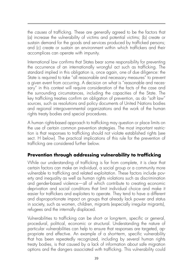the causes of trafficking. These are generally agreed to be the factors that (a) increase the vulnerability of victims and potential victims; (b) create or sustain demand for the goods and services produced by trafficked persons; and (c) create or sustain an environment within which traffickers and their accomplices can operate with impunity.

International law confirms that States bear some responsibility for preventing the occurrence of an internationally wrongful act such as trafficking. The standard implied in this obligation is, once again, one of due diligence: the State is required to take "all reasonable and necessary measures" to prevent a given event from occurring. A decision on what is "reasonable and necessary" in this context will require consideration of the facts of the case and the surrounding circumstances, including the capacities of the State. The key trafficking treaties confirm an obligation of prevention, as do "soft law" sources, such as resolutions and policy documents of United Nations bodies and regional intergovernmental organizations and the work of the human rights treaty bodies and special procedures.

A human rights-based approach to trafficking may question or place limits on the use of certain common prevention strategies. The most important restriction is that responses to trafficking should not violate established rights (see sect. H below). The practical implications of this rule for the prevention of trafficking are considered further below.

## **Prevention through addressing vulnerability to trafficking**

While our understanding of trafficking is far from complete, it is clear that certain factors can make an individual, a social group or a community more vulnerable to trafficking and related exploitation. These factors include poverty and inequality as well as human rights violations such as discrimination and gender-based violence—all of which contribute to creating economic deprivation and social conditions that limit individual choice and make it easier for traffickers and exploiters to operate. They tend to have a different and disproportionate impact on groups that already lack power and status in society, such as women, children, migrants (especially irregular migrants), refugees and the internally displaced.

Vulnerabilities to trafficking can be short- or long-term, specific or general, procedural, political, economic or structural. Understanding the nature of particular vulnerabilities can help to ensure that responses are targeted, appropriate and effective. An example of a short-term, specific vulnerability that has been repeatedly recognized, including by several human rights treaty bodies, is that caused by a lack of information about safe migration options and the dangers associated with trafficking. This vulnerability could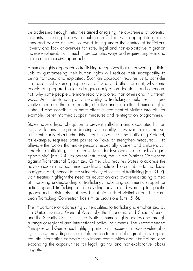be addressed through initiatives aimed at raising the awareness of potential migrants, including those who could be trafficked, with appropriate precautions and advice on how to avoid falling under the control of traffickers. Poverty and lack of avenues for safe, legal and non-exploitative migration increase vulnerability in much more complex ways and require long-term and more comprehensive approaches.

A human rights approach to trafficking recognizes that empowering individuals by guaranteeing their human rights will reduce their susceptibility to being trafficked and exploited. Such an approach requires us to consider the reasons why some people are trafficked and others are not; why some people are prepared to take dangerous migration decisions and others are not; why some people are more readily exploited than others and in different ways. An understanding of vulnerability to trafficking should result in preventive measures that are realistic, effective and respectful of human rights. It should also contribute to more effective treatment of victims through, for example, better-informed support measures and reintegration programmes.

States have a legal obligation to prevent trafficking and associated human rights violations through addressing vulnerability. However, there is not yet sufficient clarity about what this means in practice. The Trafficking Protocol, for example, requires State parties to "take or strengthen measures … to alleviate the factors that make persons, especially women and children, vulnerable to trafficking, such as poverty, underdevelopment and lack of equal opportunity" (art. 9.4). Its parent instrument, the United Nations Convention against Transnational Organized Crime, also requires States to address the adverse social and economic conditions believed to contribute to the desire to migrate and, hence, to the vulnerability of victims of trafficking (art. 31.7). Both treaties highlight the need for education and awareness-raising aimed at improving understanding of trafficking, mobilizing community support for action against trafficking, and providing advice and warning to specific groups and individuals that may be at high risk of victimization. The European Trafficking Convention has similar provisions (arts. 5–6).

The importance of addressing vulnerabilities to trafficking is emphasized by the United Nations General Assembly, the Economic and Social Council and the Security Council, United Nations human rights bodies and through a range of regional and international policy instruments. The Recommended Principles and Guidelines highlight particular measures to reduce vulnerability, such as: providing accurate information to potential migrants; developing realistic information campaigns to inform communities about trafficking; and expanding the opportunities for legal, gainful and non-exploitative labour migration.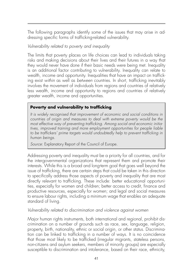The following paragraphs identify some of the issues that may arise in addressing specific forms of trafficking-related vulnerability.

#### Vulnerability related to poverty and inequality

The limits that poverty places on life choices can lead to individuals taking risks and making decisions about their lives and their futures in a way that they would never have done if their basic needs were being met. Inequality is an additional factor contributing to vulnerability. Inequality can relate to wealth, income and opportunity. Inequalities that have an impact on trafficking exist within as well as between countries. In short, trafficking inevitably involves the movement of individuals from regions and countries of relatively less wealth, income and opportunity to regions and countries of relatively greater wealth, income and opportunities.

#### **Poverty and vulnerability to trafficking**

It is widely recognised that improvement of economic and social conditions in countries of origin and measures to deal with extreme poverty would be the most effective way of preventing trafficking. Among social and economic initiatives, improved training and more employment opportunities for people liable to be traffickers' prime targets would undoubtedly help to prevent trafficking in human beings.

Source: Explanatory Report of the Council of Europe.

Addressing poverty and inequality must be a priority for all countries, and for the intergovernmental organizations that represent them and promote their interests. While this is a broad and long-term goal that goes well beyond the issue of trafficking, there are certain steps that could be taken in this direction to specifically address those aspects of poverty and inequality that are most directly relevant to trafficking. These include: better educational opportunities, especially for women and children; better access to credit, finance and productive resources, especially for women; and legal and social measures to ensure labour rights, including a minimum wage that enables an adequate standard of living.

#### Vulnerability related to discrimination and violence against women

Major human rights instruments, both international and regional, prohibit discrimination on a number of grounds such as race, sex, language, religion, property, birth, nationality, ethnic or social origin, or other status. Discrimination can be linked to trafficking in a number of ways. It is no coincidence that those most likely to be trafficked (irregular migrants, stateless persons, non-citizens and asylum seekers, members of minority groups) are especially susceptible to discrimination and intolerance, based on their race, ethnicity,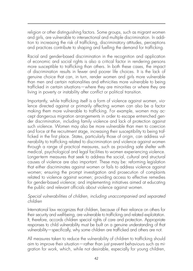religion or other distinguishing factors. Some groups, such as migrant women and girls, are vulnerable to intersectional and multiple discrimination. In addition to increasing the risk of trafficking, discriminatory attitudes, perceptions and practices contribute to shaping and fuelling the demand for trafficking.

Racial and gender-based discrimination in the recognition and application of economic and social rights is also a critical factor in rendering persons more susceptible to trafficking than others. In both these cases, the impact of discrimination results in fewer and poorer life choices. It is the lack of genuine choice that can, in turn, render women and girls more vulnerable than men and certain nationalities and ethnicities more vulnerable to being trafficked in certain situations—where they are minorities or where they are living in poverty or instability after conflict or political transition.

Importantly, while trafficking itself is a form of violence against women, violence directed against or primarily affecting women can also be a factor making them more vulnerable to trafficking. For example, women may accept dangerous migration arrangements in order to escape entrenched gender discrimination, including family violence and lack of protection against such violence. Women may also be more vulnerable than men to coercion and force at the recruitment stage, increasing their susceptibility to being trafficked in the first place. States, particularly those of origin, can address vulnerability to trafficking related to discrimination and violence against women through a range of practical measures, such as providing safe shelter with medical, psychological and legal facilities to women experiencing violence. Longer-term measures that seek to address the social, cultural and structural causes of violence are also important. These may be: reforming legislation that either discriminates against women or fails to address violence against women; ensuring the prompt investigation and prosecution of complaints related to violence against women; providing access to effective remedies for gender-based violence; and implementing initiatives aimed at educating the public and relevant officials about violence against women.

#### Special vulnerabilities of children, including unaccompanied and separated children

International law recognizes that children, because of their reliance on others for their security and well-being, are vulnerable to trafficking and related exploitation. It, therefore, accords children special rights of care and protection. Appropriate responses to child vulnerability must be built on a genuine understanding of that vulnerability—specifically, why some children are trafficked and others are not.

All measures taken to reduce the vulnerability of children to trafficking should aim to improve their situation—rather than just prevent behaviours such as migration for work, which, while not desirable, especially for young children,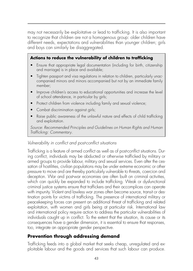may not necessarily be exploitative or lead to trafficking. It is also important to recognize that children are not a homogenous group: older children have different needs, expectations and vulnerabilities than younger children; girls and boys can similarly be disaggregated.

#### **Actions to reduce the vulnerability of children to trafficking**

- Ensure that appropriate legal documentation (including for birth, citizenship and marriage) is in place and available;
- Tighten passport and visa regulations in relation to children, particularly unaccompanied minors and minors accompanied but not by an immediate family member;
- Improve children's access to educational opportunities and increase the level of school attendance, in particular by girls;
- Protect children from violence including family and sexual violence;
- Combat discrimination against girls;
- Raise public awareness of the unlawful nature and effects of child trafficking and exploitation.

Source: Recommended Principles and Guidelines on Human Rights and Human Trafficking: Commentary.

## Vulnerability in conflict and post-conflict situations

Trafficking is a feature of armed conflict as well as of post-conflict situations. During conflict, individuals may be abducted or otherwise trafficked by military or armed groups to provide labour, military and sexual services. Even after the cessation of hostilities, civilian populations may be under extreme economic or other pressure to move and are thereby particularly vulnerable to threats, coercion and deception. War and post-war economies are often built on criminal activities, which can quickly be expanded to include trafficking. Weak or dysfunctional criminal justice systems ensure that traffickers and their accomplices can operate with impunity. Violent and lawless war zones often become source, transit or destination points for victims of trafficking. The presence of international military or peacekeeping forces can present an additional threat of trafficking and related exploitation, with women and girls being at particular risk. International law and international policy require action to address the particular vulnerabilities of individuals caught up in conflict. To the extent that the situation, its cause or its consequences have a gender dimension, it is essential to ensure that responses, too, integrate an appropriate gender perspective.

## **Prevention through addressing demand**

Trafficking feeds into a global market that seeks cheap, unregulated and exploitable labour and the goods and services that such labour can produce.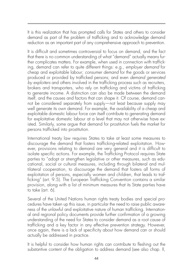It is this realization that has prompted calls for States and others to consider demand as part of the problem of trafficking and to acknowledge demand reduction as an important part of any comprehensive approach to prevention.

It is difficult and sometimes controversial to focus on demand, and the fact that there is no common understanding of what "demand" actually means further complicates matters. For example, when used in connection with trafficking, demand can refer to quite different things: e.g., employer demand for cheap and exploitable labour; consumer demand for the goods or services produced or provided by trafficked persons; and even demand generated by exploiters and others involved in the trafficking process such as recruiters, brokers and transporters, who rely on trafficking and victims of trafficking to generate income. A distinction can also be made between the demand itself, and the causes and factors that can shape it. Of course, demand cannot be considered separately from supply—not least because supply may well generate its own demand. For example, the availability of a cheap and exploitable domestic labour force can itself contribute to generating demand for exploitative domestic labour at a level that may not otherwise have existed. Similarly, some argue that demand for prostitution fuels the market for persons trafficked into prostitution.

International treaty law requires States to take at least some measures to discourage the demand that fosters trafficking-related exploitation. However, provisions relating to demand are very general and it is difficult to isolate specific actions. For example, the Trafficking Protocol requires State parties to "adopt or strengthen legislative or other measures, such as educational, social or cultural measures, including through bilateral and multilateral cooperation, to discourage the demand that fosters all forms of exploitation of persons, especially women and children, that leads to trafficking" (art. 9.5). The European Trafficking Convention contains a similar provision, along with a list of minimum measures that its State parties have to take (art. 6).

Several of the United Nations human rights treaty bodies and special procedures have taken up this issue, in particular the need to raise public awareness of the unlawful and exploitative nature of human trafficking. International and regional policy documents provide further confirmation of a growing understanding of the need for States to consider demand as a root cause of trafficking and a key factor in any effective prevention strategy. However, once again, there is a lack of specificity about how demand can or should actually be addressed in practice.

It is helpful to consider how human rights can contribute to fleshing out the substantive content of the obligation to address demand (see also chap. II,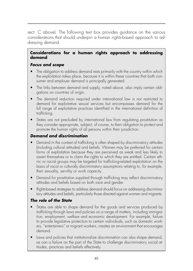sect. C above). The following text box provides guidance on the various considerations that should underpin a human rights-based approach to addressing demand.

#### **Considerations for a human rights approach to addressing demand**

#### *Focus and scope*

- The obligation to address demand rests primarily with the country within which the exploitation takes place, because it is within these countries that both consumer and employer demand is principally generated.
- The links between demand and supply, noted above, also imply certain obligations on countries of origin.
- The demand reduction required under international law is not restricted to demand for exploitative sexual services but encompasses demand for the full range of exploitative practices identified in the international definition of trafficking.
- States are not precluded by international law from regulating prostitution as they consider appropriate, subject, of course, to their obligation to protect and promote the human rights of all persons within their jurisdiction.

#### *Demand and discrimination*

- Demand in the context of trafficking is often shaped by discriminatory attitudes (including cultural attitudes) and beliefs. Women may be preferred for certain forms of exploitation because they are perceived as weak and less likely to assert themselves or to claim the rights to which they are entitled. Certain ethnic or racial groups may be targeted for trafficking-related exploitation on the basis of racist or culturally discriminatory assumptions relating to, for example, their sexuality, servility or work capacity.
- Demand for prostitution supplied through trafficking may reflect discriminatory attitudes and beliefs based on both race and gender.
- Rights-based strategies to address demand should focus on addressing discriminatory attitudes and beliefs, particularly those directed against women and migrants.

#### *The role of the State*

- States are able to shape demand for the goods and services produced by trafficking through laws and policies on a range of matters, including immigration, employment, welfare and economic development. For example, failure to provide legislative protection to certain individuals, such as domestic workers, "entertainers" or migrant workers, creates an environment that encourages demand.
- Laws and policies that institutionalize discrimination can also shape demand, as can a failure on the part of the State to challenge discriminatory social attitudes, practices and beliefs effectively.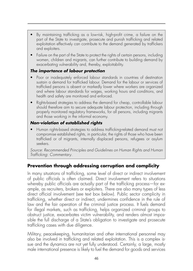- By maintaining trafficking as a low-risk, high-profit crime, a failure on the part of the State to investigate, prosecute and punish trafficking and related exploitation effectively can contribute to the demand generated by traffickers and exploiters.
- Failure on the part of the State to protect the rights of certain persons, including women, children and migrants, can further contribute to building demand by exacerbating vulnerability and, thereby, exploitability.

#### *The importance of labour protection*

- Poor or inadequately enforced labour standards in countries of destination sustain a demand for trafficked labour. Demand for the labour or services of trafficked persons is absent or markedly lower where workers are organized and where labour standards for wages, working hours and conditions, and health and safety are monitored and enforced.
- Rights-based strategies to address the demand for cheap, controllable labour should therefore aim to secure adequate labour protection, including through properly monitored regulatory frameworks, for all persons, including migrants and those working in the informal economy.

#### *Non-violation of established rights*

• Human rights-based strategies to address trafficking-related demand must not compromise established rights, in particular, the rights of those who have been trafficked or of migrants, internally displaced persons, refugees or asylum seekers.

Source: Recommended Principles and Guidelines on Human Rights and Human Trafficking: Commentary.

## **Prevention through addressing corruption and complicity**

In many situations of trafficking, some level of direct or indirect involvement of public officials is often claimed. Direct involvement refers to situations whereby public officials are actually part of the trafficking process—for example, as recruiters, brokers or exploiters. There are also many types of less direct official involvement (see text box below). Public sector complicity in trafficking, whether direct or indirect, undermines confidence in the rule of law and the fair operation of the criminal justice process. It fuels demand for illegal markets, such as trafficking, helps organized criminal groups to obstruct justice, exacerbates victim vulnerability, and renders almost impossible the full discharge of a State's obligation to investigate and prosecute trafficking cases with due diligence.

Military, peacekeeping, humanitarian and other international personnel may also be involved in trafficking and related exploitation. This is a complex issue and the dynamics are not yet fully understood. Certainly, a large, mostly male international presence is likely to fuel the demand for goods and services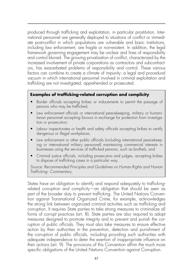produced through trafficking and exploitation, in particular prostitution. International personnel are generally deployed to situations of conflict or immediate post-conflict in which populations are vulnerable and basic institutions, including law enforcement, are fragile or non-existent. In addition, the legal framework governing engagement may be unclear and lines of responsibility and control blurred. The growing privatization of conflict, characterized by the increased involvement of private corporations as contractors and subcontractors, has exacerbated problems of responsibility and control. These various factors can combine to create a climate of impunity: a legal and procedural vacuum in which international personnel involved in criminal exploitation and trafficking are not investigated, apprehended or prosecuted.

#### **Examples of trafficking-related corruption and complicity**

- Border officials accepting bribes or inducements to permit the passage of persons who may be trafficked;
- Law enforcement officials or international peacekeeping, military or humanitarian personnel accepting favours in exchange for protection from investigation or prosecution;
- Labour inspectorates or health and safety officials accepting bribes to certify dangerous or illegal workplaces;
- Law enforcement or other public officials (including international peacekeeping or international military personnel) maintaining commercial interests in businesses using the services of trafficked persons, such as brothels; and
- Criminal justice officials, including prosecutors and judges, accepting bribes to dispose of trafficking cases in a particular way.

Source: Recommended Principles and Guidelines on Human Rights and Human Trafficking: Commentary.

States have an obligation to identify and respond adequately to traffickingrelated corruption and complicity—an obligation that should be seen as part of the broader duty to prevent trafficking. The United Nations Convention against Transnational Organized Crime, for example, acknowledges the strong link between organized criminal activities such as trafficking and corruption. It requires State parties to take strong measures to criminalize all forms of corrupt practices (art. 8). State parties are also required to adopt measures designed to promote integrity and to prevent and punish the corruption of public officials. They must also take measures to ensure effective action by their authorities in the prevention, detection and punishment of the corruption of public officials, including providing such authorities with adequate independence to deter the exertion of inappropriate influence on their actions (art. 9). The provisions of this Convention affirm the much more specific obligations of the United Nations Convention against Corruption.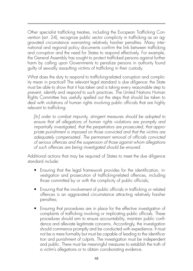Other specialist trafficking treaties, including the European Trafficking Convention (art. 24), recognize public sector complicity in trafficking as an aggravated circumstance warranting relatively harsher penalties. Many international and regional policy documents confirm the link between trafficking and corruption and the need for States to respond effectively. For example, the General Assembly has sought to protect trafficked persons against further harm by calling upon Governments to penalize persons in authority found guilty of sexually assaulting victims of trafficking in their custody.

What does the duty to respond to trafficking-related corruption and complicity mean in practice? The relevant legal standard is due diligence: the State must be able to show that it has taken and is taking every reasonable step to prevent, identify and respond to such practices. The United Nations Human Rights Committee has usefully spelled out the steps that should be taken to deal with violations of human rights involving public officials that are highly relevant to trafficking:

[In] order to combat impunity, stringent measures should be adopted to ensure that all allegations of human rights violations are promptly and impartially investigated, that the perpetrators are prosecuted, that appropriate punishment is imposed on those convicted and that the victims are adequately compensated. The permanent removal of officials convicted of serious offences and the suspension of those against whom allegations of such offences are being investigated should be ensured.

Additional actions that may be required of States to meet the due diligence standard include:

- Ensuring that the legal framework provides for the identification, investigation and prosecution of trafficking-related offences, including those committed by or with the complicity of public officials;
- Ensuring that the involvement of public officials in trafficking or related offences is an aggravated circumstance attracting relatively harsher penalties;
- Ensuring that procedures are in place for the effective investigation of complaints of trafficking involving or implicating public officials. These procedures should aim to ensure accountability, maintain public confidence and alleviate legitimate concerns. Accordingly, the investigation should commence promptly and be conducted with expedience. It must not be a mere formality but must be capable of leading to the identification and punishment of culprits. The investigation must be independent and public. There must be meaningful measures to establish the truth of a victim's allegations or to obtain corroborating evidence.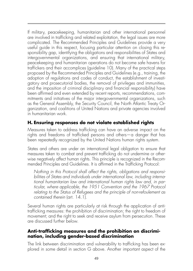If military, peacekeeping, humanitarian and other international personnel are involved in trafficking and related exploitation, the legal issues are more complicated. The Recommended Principles and Guidelines provide a very useful guide in this respect, focusing particular attention on closing this responsibility gap, identifying the obligations and responsibilities of States and intergovernmental organizations, and ensuring that international military, peacekeeping and humanitarian operations do not become safe havens for traffickers and their accomplices (guideline 10). Many of the practical steps proposed by the Recommended Principles and Guidelines (e.g., training, the adoption of regulations and codes of conduct, the establishment of investigatory and prosecutorial bodies, the removal of privileges and immunities, and the imposition of criminal disciplinary and financial responsibility) have been affirmed and even extended by recent reports, recommendations, commitments and initiatives of the major intergovernmental organizations, such as the General Assembly, the Security Council, the North Atlantic Treaty Organization, and coalitions of United Nations and private agencies involved in humanitarian work.

## **H. Ensuring responses do not violate established rights**

Measures taken to address trafficking can have an adverse impact on the rights and freedoms of trafficked persons and others—a danger that has been repeatedly recognized by the United Nations human rights system.

States and others are under an international legal obligation to ensure that measures taken to combat and prevent trafficking do not undermine or otherwise negatively affect human rights. This principle is recognized in the Recommended Principles and Guidelines. It is affirmed in the Trafficking Protocol:

Nothing in this Protocol shall affect the rights, obligations and responsibilities of States and individuals under international law, including international humanitarian law and international human rights law and, in particular, where applicable, the 1951 Convention and the 1967 Protocol relating to the Status of Refugees and the principle of non-refoulement as contained therein (art. 14.1).

Several human rights are particularly at risk through the application of antitrafficking measures: the prohibition of discrimination; the right to freedom of movement; and the right to seek and receive asylum from persecution. These are discussed further below.

## **Anti-trafficking measures and the prohibition on discrimination, including gender-based discrimination**

The link between discrimination and vulnerability to trafficking has been explored in some detail in section G above. Another important aspect of the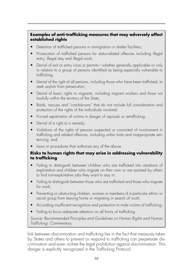#### **Examples of anti-trafficking measures that may adversely affect established rights**

- Detention of trafficked persons in immigration or shelter facilities;
- Prosecution of trafficked persons for status-related offences including illegal entry, illegal stay and illegal work;
- Denial of exit or entry visas or permits—whether generally applicable or only in relation to a group of persons identified as being especially vulnerable to trafficking;
- Denial of the right of all persons, including those who have been trafficked, to seek asylum from persecution;
- Denial of basic rights to migrants, including migrant workers and those not lawfully within the territory of the State;
- Raids, rescues and "crackdowns" that do not include full consideration and protection of the rights of the individuals involved;
- Forced repatriation of victims in danger of reprisals or retrafficking;
- Denial of a right to a remedy;
- Violations of the rights of persons suspected or convicted of involvement in trafficking and related offences, including unfair trials and inappropriate sentencing; and
- Laws or procedures that authorize any of the above.

#### **Risks to human rights that may arise in addressing vulnerability to trafficking**

- Failing to distinguish between children who are trafficked into situations of exploitation and children who migrate on their own or are assisted by others to find non-exploitative jobs they want to stay in;
- Failing to distinguish between those who are trafficked and those who migrate for work;
- Preventing or obstructing children, women or members of a particular ethnic or racial group from leaving home or migrating in search of work;
- According insufficient recognition and protection to male victims of trafficking;
- Failing to focus adequate attention on all forms of trafficking.

Source: Recommended Principles and Guidelines on Human Rights and Human Trafficking: Commentary.

link between discrimination and trafficking lies in the fact that measures taken by States and others to prevent or respond to trafficking can perpetuate discrimination and even violate the legal prohibition against discrimination. This danger is explicitly recognized in the Trafficking Protocol: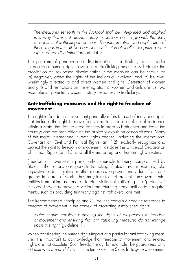The measures set forth in this Protocol shall be interpreted and applied in a way that is not discriminatory to persons on the grounds that they are victims of trafficking in persons. The interpretation and application of those measures shall be consistent with internationally recognized principles of non-discrimination (art. 14.2).

The problem of gender-based discrimination is particularly acute. Under international human rights law, an anti-trafficking measure will violate the prohibition on sex-based discrimination if the measure can be shown to: (a) negatively affect the rights of the individual involved; and (b) be overwhelmingly directed to and affect women and girls. Detention of women and girls and restrictions on the emigration of women and girls are just two examples of potentially discriminatory responses to trafficking.

#### **Anti-trafficking measures and the right to freedom of movement**

The right to freedom of movement generally refers to a set of individual rights that include: the right to move freely and to choose a place of residence within a State; the right to cross frontiers in order to both enter and leave the country; and the prohibition on the arbitrary expulsion of non-citizens. Many of the major international human rights treaties, including the International Covenant on Civil and Political Rights (art. 12), explicitly recognize and protect the right to freedom of movement, as does the Universal Declaration of Human Rights (art. 13) and all the major regional human rights treaties.

Freedom of movement is particularly vulnerable to being compromised by States in their efforts to respond to trafficking. States may, for example, take legislative, administrative or other measures to prevent individuals from emigrating in search of work. They may take (or not prevent non-governmental entities from taking) national or foreign victims of trafficking into "protective" custody. They may prevent a victim from returning home until certain requirements, such as providing testimony against traffickers, are met.

The Recommended Principles and Guidelines contain a specific reference to freedom of movement in the context of protecting established rights:

States should consider protecting the rights of all persons to freedom of movement and ensuring that anti-trafficking measures do not infringe upon this right (quideline 1).

When considering the human rights impact of a particular anti-trafficking measure, it is important to acknowledge that freedom of movement and related rights are not absolute. Such freedom may, for example, be guaranteed only to those who are lawfully within the territory of the State. In its general comment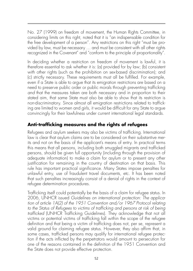No. 27 (1999) on freedom of movement, the Human Rights Committee, in considering limits on this right, noted that it is "an indispensable condition for the free development of a person". Any restrictions on this right "must be provided by law, must be necessary … and must be consistent with all other rights recognized in the Covenant" and "conform to the principle of proportionality".

In deciding whether a restriction on freedom of movement is lawful, it is therefore essential to ask whether it is: (a) provided for by law; (b) consistent with other rights (such as the prohibition on sex-based discrimination); and (c) strictly necessary. These requirements must all be fulfilled. For example, even if a State is able to argue that its emigration restrictions are based on a need to preserve public order or public morals through preventing trafficking and that the measures taken are both necessary and in proportion to their stated aim, that same State must also be able to show that its restriction is non-discriminatory. Since almost all emigration restrictions related to trafficking are limited to women and girls, it would be difficult for any State to argue convincingly for their lawfulness under current international legal standards.

## **Anti-trafficking measures and the rights of refugees**

Refugees and asylum seekers may also be victims of trafficking. International law is clear that asylum claims are to be considered on their substantive merits and not on the basis of the applicant's means of entry. In practical terms this means that all persons, including both smuggled migrants and trafficked persons, should be given full opportunity (including through the provision of adequate information) to make a claim for asylum or to present any other justification for remaining in the country of destination on that basis. This rule has important practical significance. Many States impose penalties for unlawful entry, use of fraudulent travel documents, etc. It has been noted that such penalties increasingly consist of a denial of rights in the context of refugee determination procedures.

Trafficking itself could potentially be the basis of a claim for refugee status. In 2006, UNHCR issued Guidelines on international protection: The application of article 1A(2) of the 1951 Convention and/or 1967 Protocol relating to the Status of Refugees to victims of trafficking and persons at risk of being trafficked (UNHCR Trafficking Guidelines). They acknowledge that not all victims or potential victims of trafficking fall within the scope of the refugee definition and that being a victim of trafficking does not, per se, represent a valid ground for claiming refugee status. However, they also affirm that, in some cases, trafficked persons may qualify for international refugee protection if the acts inflicted by the perpetrators would amount to persecution for one of the reasons contained in the definition of the 1951 Convention and the State does not provide effective protection.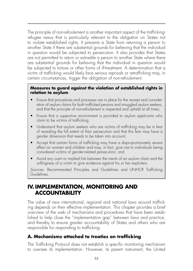The principle of non-refoulement is another important aspect of the traffickingrefugee nexus that is particularly relevant to the obligation on States not to violate established rights. It prevents a State from returning a person to another State if there are substantial grounds for believing that the individual in question would be subjected to persecution. It also provides that States are not permitted to return or extradite a person to another State where there are substantial grounds for believing that the individual in question would be subjected to torture or other forms of ill-treatment. A determination that a victim of trafficking would likely face serious reprisals or retrafficking may, in certain circumstances, trigger the obligation of non-refoulement.

#### **Measures to guard against the violation of established rights in relation to asylum**

- Ensure that procedures and processes are in place for the receipt and consideration of asylum claims for both trafficked persons and smuggled asylum seekers, and that the principle of non-refoulement is respected and upheld at all times;
- Ensure that a supportive environment is provided to asylum applicants who claim to be victims of trafficking;
- Understand that asylum seekers who are victims of trafficking may be in fear of revealing the full extent of their persecution and that this fear may have a gender dimension that needs to be taken into account;
- Accept that certain forms of trafficking may have a disproportionately severe effect on women and children and may, in fact, give rise to individuals being considered victims of gender-related persecution; and
- Avoid any overt or implied link between the merits of an asylum claim and the willingness of a victim to give evidence against his or her exploiters.

Sources: Recommended Principles and Guidelines and UNHCR Trafficking Guidelines.

## **IV. IMPLEMENTATION, MONITORING AND ACCOUNTABILITY**

The value of new international, regional and national laws around trafficking depends on their effective implementation. This chapter provides a brief overview of the web of mechanisms and procedures that have been established to help close the "implementation gap" between laws and practice, and thereby to ensure greater accountability of States and others who are responsible for responding to trafficking.

## **A. Mechanisms attached to treaties on trafficking**

The Trafficking Protocol does not establish a specific monitoring mechanism to oversee its implementation. However, its parent instrument, the United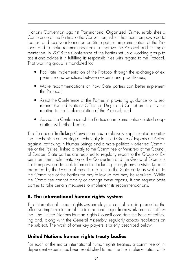Nations Convention against Transnational Organized Crime, establishes a Conference of the Parties to the Convention, which has been empowered to request and receive information on State parties' implementation of the Protocol and to make recommendations to improve the Protocol and its implementation. In 2008 the Conference of the Parties set up a working group to assist and advise it in fulfilling its responsibilities with regard to the Protocol. That working group is mandated to:

- Facilitate implementation of the Protocol through the exchange of experience and practices between experts and practitioners;
- Make recommendations on how State parties can better implement the Protocol;
- Assist the Conference of the Parties in providing guidance to its secretariat (United Nations Office on Drugs and Crime) on its activities relating to the implementation of the Protocol; and
- Advise the Conference of the Parties on implementation-related cooperation with other bodies.

The European Trafficking Convention has a relatively sophisticated monitoring mechanism comprising a technically focused Group of Experts on Action against Trafficking in Human Beings and a more politically oriented Committee of the Parties, linked directly to the Committee of Ministers of the Council of Europe. State parties are required to regularly report to the Group of Experts on their implementation of the Convention and the Group of Experts is itself empowered to seek information including through on-site visits. Reports prepared by the Group of Experts are sent to the State party as well as to the Committee of the Parties for any follow-up that may be required. While the Committee cannot modify or change these reports, it can request State parties to take certain measures to implement its recommendations.

## **B. The international human rights system**

The international human rights system plays a central role in promoting the effective implementation of the international legal framework around trafficking. The United Nations Human Rights Council considers the issue of trafficking and, along with the General Assembly, regularly adopts resolutions on the subject. The work of other key players is briefly described below.

## **United Nations human rights treaty bodies**

For each of the major international human rights treaties, a committee of independent experts has been established to monitor the implementation of its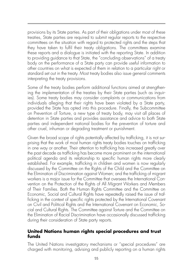provisions by its State parties. As part of their obligations under most of these treaties, State parties are required to submit regular reports to the respective committees on the situation with regard to protected rights and the steps that they have taken to fulfil their treaty obligations. The committees examine these reports and a dialogue is initiated with the reporting State. In addition to providing guidance to that State, the "concluding observations" of a treaty body on the performance of a State party can provide useful information to other countries on what is expected of them in relation to a particular right or standard set out in the treaty. Most treaty bodies also issue general comments interpreting the treaty provisions.

Some of the treaty bodies perform additional functions aimed at strengthening the implementation of the treaties by their State parties (such as inquiries). Some treaty bodies may consider complaints or communications from individuals alleging that their rights have been violated by a State party, provided the State has opted into this procedure. Finally, the Subcommittee on Prevention of Torture, a new type of treaty body, may visit all places of detention in State parties and provides assistance and advice to both State parties and independent national bodies for the prevention of torture and other cruel, inhuman or degrading treatment or punishment.

Given the broad scope of rights potentially affected by trafficking, it is not surprising that the work of most human rights treaty bodies touches on trafficking in one way or another. Their attention to trafficking has increased greatly over the past decade as trafficking has become more prominent on the international political agenda and its relationship to specific human rights more clearly established. For example, trafficking in children and women is now regularly discussed by the Committee on the Rights of the Child and the Committee on the Elimination of Discrimination against Women; and the trafficking of migrant workers is a major issue for the Committee that oversees the International Convention on the Protection of the Rights of All Migrant Workers and Members of Their Families. Both the Human Rights Committee and the Committee on Economic, Social and Cultural Rights have repeatedly raised the issue of trafficking in the context of specific rights protected by the International Covenant on Civil and Political Rights and the International Covenant on Economic, Social and Cultural Rights. The Committee against Torture and the Committee on the Elimination of Racial Discrimination have occasionally discussed trafficking during their consideration of State party reports.

#### **United Nations human rights special procedures and trust funds**

The United Nations investigatory mechanisms or "special procedures" are charged with monitoring, advising and publicly reporting on a human rights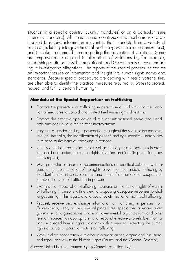situation in a specific country (country mandates) or on a particular issue (thematic mandates). All thematic and country-specific mechanisms are authorized to receive information relevant to their mandate from a variety of sources (including intergovernmental and non-governmental organizations), and to make recommendations regarding the prevention of violations. Some are empowered to respond to allegations of violations by, for example, establishing a dialogue with complainants and Governments or even engaging in investigating allegations. The reports of the special procedures can be an important source of information and insight into human rights norms and standards. Because special procedures are dealing with real situations, they are often able to identify the practical measures required by States to protect, respect and fulfil a certain human right.

#### **Mandate of the Special Rapporteur on trafficking**

- Promote the prevention of trafficking in persons in all its forms and the adoption of measures to uphold and protect the human rights of victims;
- Promote the effective application of relevant international norms and standards and contribute to their further improvement;
- Integrate a gender and age perspective throughout the work of the mandate through, inter alia, the identification of gender- and age-specific vulnerabilities in relation to the issue of trafficking in persons;
- Identify and share best practices as well as challenges and obstacles in order to uphold and protect the human rights of victims and identify protection gaps in this regard;
- Give particular emphasis to recommendations on practical solutions with regard to the implementation of the rights relevant to the mandate, including by the identification of concrete areas and means for international cooperation to tackle the issue of trafficking in persons;
- Examine the impact of anti-trafficking measures on the human rights of victims of trafficking in persons with a view to proposing adequate responses to challenges arising in this regard and to avoid revictimization of victims of trafficking;
- Request, receive and exchange information on trafficking in persons from Governments, treaty bodies, special procedures, specialized agencies, intergovernmental organizations and non-governmental organizations and other relevant sources, as appropriate, and respond effectively to reliable information on alleged human rights violations with a view to protecting the human rights of actual or potential victims of trafficking.
- Work in close cooperation with other relevant agencies, organs and institutions, and report annually to the Human Rights Council and the General Assembly.

Source: United Nations Human Rights Council resolution 17/1.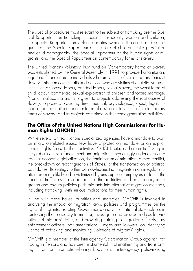The special procedures most relevant to the subject of trafficking are the Special Rapporteur on trafficking in persons, especially women and children; the Special Rapporteur on violence against women, its causes and consequences; the Special Rapporteur on the sale of children, child prostitution and child pornography; the Special Rapporteur on the human rights of migrants; and the Special Rapporteur on contemporary forms of slavery.

The United Nations Voluntary Trust Fund on Contemporary Forms of Slavery was established by the General Assembly in 1991 to provide humanitarian, legal and financial aid to individuals who are victims of contemporary forms of slavery. This term covers trafficked persons who are victims of exploitative practices such as forced labour, bonded labour, sexual slavery, the worst forms of child labour, commercial sexual exploitation of children and forced marriage. Priority in allocating grants is given to projects addressing the root causes of slavery; to projects providing direct medical, psychological, social, legal, humanitarian, educational or other forms of assistance to victims of contemporary forms of slavery; and to projects combined with income-generating activities.

#### **The Office of the United Nations High Commissioner for Human Rights (OHCHR)**

While several United Nations specialized agencies have a mandate to work on migration-related issues, few have a protection mandate or an explicit human rights focus to their activities. OHCHR situates human trafficking in the global context of movement and migrations increasingly undertaken as a result of economic globalization, the feminization of migration, armed conflict, the breakdown or reconfiguration of States, or the transformation of political boundaries. Its strategy further acknowledges that migrants in an irregular situation are more likely to be victimized by unscrupulous employers or fall in the hands of traffickers. It also recognizes that restrictive and exclusionary immigration and asylum policies push migrants into alternative migration methods, including trafficking, with serious implications for their human rights.

In line with these issues, priorities and strategies, OHCHR is involved in analysing the impact of migration laws, policies and programmes on the rights of migrants; assisting Governments and other national stakeholders in reinforcing their capacity to monitor, investigate and provide redress for violations of migrants' rights; and providing training to migration officials, law enforcement officers, parliamentarians, judges and lawyers, on identifying victims of trafficking and monitoring violations of migrants' rights.

OHCHR is a member of the Inter-agency Coordination Group against Trafficking in Persons and has been instrumental in strengthening and transforming it from an information-sharing body to an inter-agency policymaking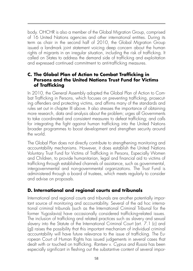body. OHCHR is also a member of the Global Migration Group, comprised of 16 United Nations agencies and other international entities. During its term as chair in the second half of 2010, the Global Migration Group issued a landmark joint statement voicing deep concern about the human rights of migrants in an irregular situation, including the risk of trafficking. It called on States to address the demand side of trafficking and exploitation and expressed continued commitment to anti-trafficking measures.

#### **C. The Global Plan of Action to Combat Trafficking in Persons and the United Nations Trust Fund for Victims of Trafficking**

In 2010, the General Assembly adopted the Global Plan of Action to Combat Trafficking in Persons, which focuses on preventing trafficking, prosecuting offenders and protecting victims, and affirms many of the standards and rules set out in chapter III above. It also stresses the importance of obtaining more research, data and analysis about the problem; urges all Governments to take coordinated and consistent measures to defeat trafficking; and calls for integrating the fight against human trafficking into the United Nations broader programmes to boost development and strengthen security around the world.

The Global Plan does not directly contribute to strengthening monitoring and accountability mechanisms. However, it does establish the United Nations Voluntary Trust Fund for Victims of Trafficking in Persons, Especially Women and Children, to provide humanitarian, legal and financial aid to victims of trafficking through established channels of assistance, such as governmental, intergovernmental and non-governmental organizations. The Trust Fund is administered through a board of trustees, which meets regularly to consider and advise on proposals.

## **D. International and regional courts and tribunals**

International and regional courts and tribunals are another potentially important source of monitoring and accountability. Several of the ad hoc international criminal tribunals (such as the International Criminal Tribunal for the former Yugoslavia) have occasionally considered trafficking-related issues. The inclusion of trafficking and related practices such as slavery and sexual slavery into the Statute of the International Criminal Court (art. 7.1 (c) and (g)) raises the possibility that this important mechanism of individual criminal accountability will have future relevance to the issue of trafficking. The European Court of Human Rights has issued judgements in several cases that dealt with or touched on trafficking. Rantsev v. Cyprus and Russia has been especially significant in fleshing out the substantive content of several impor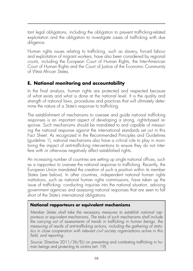tant legal obligations, including the obligation to prevent trafficking-related exploitation and the obligation to investigate cases of trafficking with due diligence.

Human rights issues relating to trafficking, such as slavery, forced labour and exploitation of migrant workers, have also been considered by regional courts, including the European Court of Human Rights, the Inter-American Court of Human Rights and the Court of Justice of the Economic Community of West African States.

## **E. National monitoring and accountability**

In the final analysis, human rights are protected and respected because of what exists and what is done at the national level. It is the quality and strength of national laws, procedures and practices that will ultimately determine the nature of a State's response to trafficking.

The establishment of mechanisms to oversee and guide national trafficking responses is an important aspect of developing a strong, rights-based response. Such mechanisms should be mandated to and capable of measuring the national response against the international standards set out in this Fact Sheet. As recognized in the Recommended Principles and Guidelines (guideline 1), national mechanisms also have a critical role to play in monitoring the impact of anti-trafficking interventions to ensure they do not interfere with or otherwise negatively affect established rights.

An increasing number of countries are setting up single national offices, such as a rapporteur to oversee the national response to trafficking. Recently, the European Union mandated the creation of such a position within its member States (see below). In other countries, independent national human rights institutions, such as national human rights commissions, have taken up the issue of trafficking: conducting inquiries into the national situation, advising government agencies and assessing national responses that are seen to fall short of the State's international obligations.

#### **National rapporteurs or equivalent mechanisms**

Member States shall take the necessary measures to establish national rapporteurs or equivalent mechanisms. The tasks of such mechanisms shall include the carrying out of assessments of trends in trafficking in human beings, the measuring of results of anti-trafficking actions, including the gathering of statistics in close cooperation with relevant civil society organisations active in this field, and reporting.

Source: Directive 2011/36/EU on preventing and combating trafficking in human beings and protecting its victims (art. 19).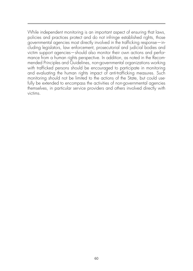While independent monitoring is an important aspect of ensuring that laws, policies and practices protect and do not infringe established rights, those governmental agencies most directly involved in the trafficking response—including legislators, law enforcement, prosecutorial and judicial bodies and victim support agencies—should also monitor their own actions and performance from a human rights perspective. In addition, as noted in the Recommended Principles and Guidelines, non-governmental organizations working with trafficked persons should be encouraged to participate in monitoring and evaluating the human rights impact of anti-trafficking measures. Such monitoring should not be limited to the actions of the State, but could usefully be extended to encompass the activities of non-governmental agencies themselves, in particular service providers and others involved directly with victims.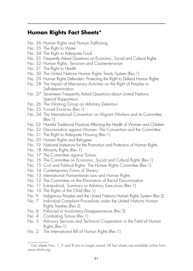## **Human Rights Fact Sheets\***

- No. 36 Human Rights and Human Trafficking
- No. 35 The Right to Water
- No. 34 The Right to Adequate Food
- No. 33 Frequently Asked Questions on Economic, Social and Cultural Rights
- No. 32 Human Rights, Terrorism and Counter-terrorism
- No. 31 The Right to Health
- No. 30 The United Nations Human Rights Treaty System (Rev.1)
- No. 29 Human Rights Defenders: Protecting the Right to Defend Human Rights
- No. 28 The Impact of Mercenary Activities on the Right of Peoples to Self-determination
- No. 27 Seventeen Frequently Asked Questions about United Nations Special Rapporteurs
- No. 26 The Working Group on Arbitrary Detention
- No. 25 Forced Evictions (Rev.1)
- No. 24 The International Convention on Migrant Workers and its Committee (Rev.1)
- No. 23 Harmful Traditional Practices Affecting the Health of Women and Children
- No. 22 Discrimination against Women: The Convention and the Committee
- No. 21 The Right to Adequate Housing (Rev.1)
- No. 20 Human Rights and Refugees
- No. 19 National Institutions for the Promotion and Protection of Human Rights
- No. 18 Minority Rights (Rev.1)
- No. 17 The Committee against Torture
- No. 16 The Committee on Economic, Social and Cultural Rights (Rev.1)
- No. 15 Civil and Political Rights: The Human Rights Committee (Rev.1)
- No. 14 Contemporary Forms of Slavery
- No. 13 International Humanitarian Law and Human Rights
- No. 12 The Committee on the Elimination of Racial Discrimination
- No. 11 Extrajudicial, Summary or Arbitrary Executions (Rev.1)
- No. 10 The Rights of the Child (Rev.1)
- No. 9 Indigenous Peoples and the United Nations Human Rights System (Rev.2)
- No. 7 Individual Complaint Procedures under the United Nations Human Rights Treaties (Rev.2)
- No. 6 Enforced or Involuntary Disappearances (Rev.3)
- No. 4 Combating Torture (Rev. 1)
- No. 3 Advisory Services and Technical Cooperation in the Field of Human Rights (Rev.1)
- No. 2 The International Bill of Human Rights (Rev.1)

Fact sheets Nos. 1, 5 and 8 are no longer issued. All fact sheets are available online from www.ohchr.org.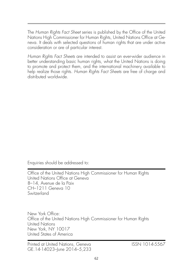The Human Rights Fact Sheet series is published by the Office of the United Nations High Commissioner for Human Rights, United Nations Office at Geneva. It deals with selected questions of human rights that are under active consideration or are of particular interest.

Human Rights Fact Sheets are intended to assist an ever-wider audience in better understanding basic human rights, what the United Nations is doing to promote and protect them, and the international machinery available to help realize those rights. Human Rights Fact Sheets are free of charge and distributed worldwide.

Enquiries should be addressed to:

Office of the United Nations High Commissioner for Human Rights United Nations Office at Geneva 8–14, Avenue de la Paix CH–1211 Geneva 10 Switzerland

New York Office: Office of the United Nations High Commissioner for Human Rights United Nations New York, NY 10017 United States of America

Printed at United Nations, Geneva **ISSN 1014-5567** GE.14-14023-June 2014-5,233